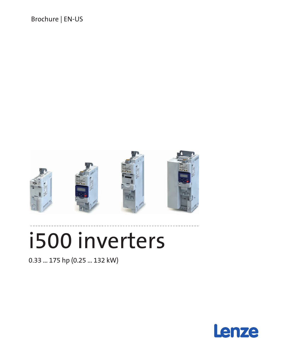Brochure | EN-US



# i500 inverters

0.33 ... 175 hp (0.25 ... 132 kW)

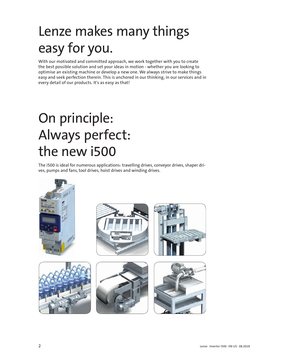## Lenze makes many things easy for you.

With our motivated and committed approach, we work together with you to create the best possible solution and set your ideas in motion - whether you are looking to optimise an existing machine or develop a new one. We always strive to make things easy and seek perfection therein. This is anchored in our thinking, in our services and in every detail of our products. It's as easy as that!

## On principle: Always perfect: the new i500

The i500 is ideal for numerous applications: travelling drives, conveyor drives, shaper drives, pumps and fans, tool drives, hoist drives and winding drives.

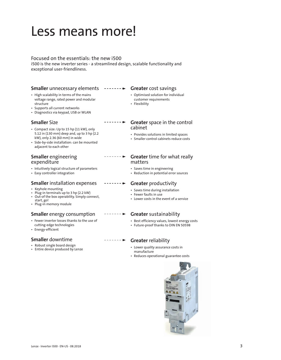### Less means more!

#### Focused on the essentials: the new i500

i500 is the new inverter series - a streamlined design, scalable functionality and exceptional user-friendliness.

#### **Smaller** unnecessary elements - - - - - - ► Greater cost savings

- High scalability in terms of the mains voltage range, rated power and modular structure
- Supports all current networks
- Diagnostics via keypad, USB or WLAN

#### **Smaller** Size

- Compact size: Up to 15 hp (11 kW), only 5.12 in (130 mm) deep and, up to 3 hp (2.2 kW), only 2.36 (60 mm) in wide
- Side-by-side installation: can be mounted adjacent to each other

#### **Smaller** engineering expenditure

- Intuitively logical structure of parameters
- Easy controller integration

#### **Smaller** installation expenses

- Keyhole mounting
- Plug-in terminals up to 3 hp (2.2 kW) • Out-of the box operability. Simply connect, start, go!
- Plug-in memory module

#### **Smaller** energy consumption

- Fewer inverter losses thanks to the use of cutting-edge technologies
- Energy-efficient

#### **Smaller** downtime

- Robust single board design
- Entire device produced by Lenze

- Optimised solution for individual customer requirements
- Flexibility

#### ---------**Greater** space in the control cabinet

- Provides solutions in limited spaces
- Smaller control cabinets reduce costs

#### --------**Greater** time for what really matters

- Saves time in engineering
- Reduction in potential error sources

#### $\cdots$  . . . .  $\blacktriangleright$ **Greater** productivity

- Saves time during installation
- Fewer faults in use
- Lower costs in the event of a service

#### **Greater** sustainability

- Best efficiency values, lowest energy costs
- Future-proof thanks to DIN EN 50598

#### $\cdots \cdots \cdots \blacktriangleright$ **Greater** reliability

- Lower quality assurance costs in manufacture
- Reduces operational guarantee costs

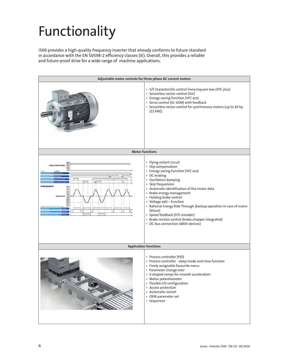## Functionality

i500 provides a high-quality frequency inverter that already conforms to future standard in accordance with the EN 50598-2 efficiency classes (IE). Overall, this provides a reliable and future-proof drive for a wide range of machine applications.

| Adjustable motor controls for three-phase AC current motors                                                                          |                                                                                                                                                                                                                                                                                                                                                                                                                                                                                                          |  |  |  |  |
|--------------------------------------------------------------------------------------------------------------------------------------|----------------------------------------------------------------------------------------------------------------------------------------------------------------------------------------------------------------------------------------------------------------------------------------------------------------------------------------------------------------------------------------------------------------------------------------------------------------------------------------------------------|--|--|--|--|
|                                                                                                                                      | • V/f characteristic control linear/square-law (VFC plus)<br>• Sensorless vector control (SLV)<br>• Energy saving function (VFC eco)<br>• Servo control (SC-ASM) with feedback<br>• Sensorless vector control for synchronous motors (up to 30 hp<br>(22 kW)                                                                                                                                                                                                                                             |  |  |  |  |
|                                                                                                                                      | <b>Motor functions</b>                                                                                                                                                                                                                                                                                                                                                                                                                                                                                   |  |  |  |  |
| $\sqrt{2}$<br>$\omega$<br>σN<br>Ausgangssignal<br>50 Hz<br>40 Hz<br>10 Hz<br>20 Hz<br>10 Hz<br>$-10$ Hz<br>20 Hz<br>$30$ Hz<br>50 Hz | • Flying restart circuit<br>· Slip compensation<br>• Energy saving function (VFC eco)<br>• DC braking<br>• Oscillation damping<br>• Skip frequencies<br>• Automatic identification of the motor data<br>• Brake energy management<br>• Holding brake control<br>• Voltage add - function<br>• Rational Energy Ride Through (backup operation in case of mains<br>failure)<br>• Speed feedback (HTL encoder)<br>• Brake resistor control (brake chopper integrated)<br>• DC-bus connection (480V devices) |  |  |  |  |
| <b>Application functions</b>                                                                                                         |                                                                                                                                                                                                                                                                                                                                                                                                                                                                                                          |  |  |  |  |
| Lenze<br>Lenze                                                                                                                       | • Process controller (PID)<br>• Process controller - sleep mode and rinse function<br>• Freely assignable favourite menu<br>• Parameter change-over<br>• S-shaped ramps for smooth acceleration<br>• Motor potentiometer<br>• Flexible I/O configuration<br>• Access protection<br>• Automatic restart<br>• OEM parameter set<br>• Sequencer                                                                                                                                                             |  |  |  |  |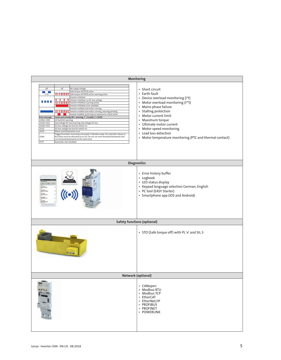| Monitoring                                                                                                                                                                                                                                                                                                                                                                                                                                                                                                                                                                                                                                                                                                                                                                                                                                                                                                                                                                                                                                                    |                                                                                                                                                                                                                                                                                                                                                                       |  |  |  |  |
|---------------------------------------------------------------------------------------------------------------------------------------------------------------------------------------------------------------------------------------------------------------------------------------------------------------------------------------------------------------------------------------------------------------------------------------------------------------------------------------------------------------------------------------------------------------------------------------------------------------------------------------------------------------------------------------------------------------------------------------------------------------------------------------------------------------------------------------------------------------------------------------------------------------------------------------------------------------------------------------------------------------------------------------------------------------|-----------------------------------------------------------------------------------------------------------------------------------------------------------------------------------------------------------------------------------------------------------------------------------------------------------------------------------------------------------------------|--|--|--|--|
| off<br>off<br>No supply voltage<br>Safe torque off (STO) active.<br><b>The Co</b><br>.<br>Safe torque off (STO) active, warning active<br>1 Hz<br>Inverter inhibited<br>Inverter inhibited, no DC-bus voltage<br>Inverter inhibited, warning active<br>Inverter inhibited, error available<br>Inverter enabled and motor running<br>Inverter enabled and motor running, warning pending<br>Inverter enabled, quick stop as response to a fault active<br>Cause and remedy (W = warning, T = trouble, F = fault)<br><b>Error message</b><br>.2382/.2383<br>Ixt fault/Ixt warning<br>Overvoltage DC-bus/warning overvoltage DC-bus<br>3210/.3211<br>3220/.3221<br>DC-bus voltage too low for switch-on<br>3222<br>DC-bus voltage too low for switch-on<br>4310<br>Motor overtemperature error<br>Trigger/functions incorrectly connected. In flexible mode, the controller release or<br>6280<br>Run/Stop must be allocated to an I/O. Do not use start-forwards/backwards and<br>run-forwards/backwards at the same time.<br>.FF37<br>Automatic start disabled | • Short circuit<br>• Earth fault<br>• Device overload monitoring (i*t)<br>• Motor overload monitoring (i <sup>2*</sup> t)<br>• Mains phase failure<br>• Stalling protection<br>• Motor current limit<br>• Maximum torque<br>• Ultimate motor current<br>• Motor speed monitoring<br>• Load loss detection<br>• Motor temperature monitoring (PTC and thermal contact) |  |  |  |  |
|                                                                                                                                                                                                                                                                                                                                                                                                                                                                                                                                                                                                                                                                                                                                                                                                                                                                                                                                                                                                                                                               | <b>Diagnostics</b>                                                                                                                                                                                                                                                                                                                                                    |  |  |  |  |
|                                                                                                                                                                                                                                                                                                                                                                                                                                                                                                                                                                                                                                                                                                                                                                                                                                                                                                                                                                                                                                                               | • Error history buffer<br>• Logbook<br>• LED status display<br>• Keypad language selection German, English<br>• PC tool (EASY Starter)<br>• Smartphone app (iOS and Android)                                                                                                                                                                                          |  |  |  |  |
|                                                                                                                                                                                                                                                                                                                                                                                                                                                                                                                                                                                                                                                                                                                                                                                                                                                                                                                                                                                                                                                               | <b>Safety functions (optional)</b>                                                                                                                                                                                                                                                                                                                                    |  |  |  |  |
|                                                                                                                                                                                                                                                                                                                                                                                                                                                                                                                                                                                                                                                                                                                                                                                                                                                                                                                                                                                                                                                               | • STO (Safe torque off) with PL 'e' and SIL 3                                                                                                                                                                                                                                                                                                                         |  |  |  |  |
|                                                                                                                                                                                                                                                                                                                                                                                                                                                                                                                                                                                                                                                                                                                                                                                                                                                                                                                                                                                                                                                               | <b>Network (optional)</b>                                                                                                                                                                                                                                                                                                                                             |  |  |  |  |
|                                                                                                                                                                                                                                                                                                                                                                                                                                                                                                                                                                                                                                                                                                                                                                                                                                                                                                                                                                                                                                                               | • CANopen<br>• Modbus RTU<br>• Modbus TCP<br>• EtherCAT<br>• EtherNet/IP<br>• PROFIBUS<br>· PROFINET<br>· POWERLINK                                                                                                                                                                                                                                                   |  |  |  |  |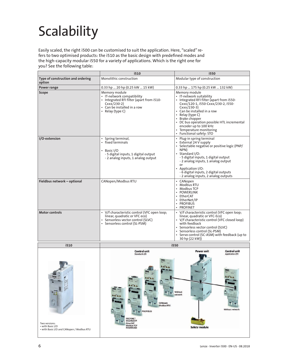## Scalability

Easily scaled, the right i500 can be customised to suit the application. Here, "scaled" refers to two optimised products: the i510 as the basic design with predefined modes and the high-capacity modular i550 for a variety of applications. Which is the right one for you? See the following table:

|                                             | i510                                                                                                                                                          | i550                                                                                                                                                                                                                                                                                                                                                |  |  |
|---------------------------------------------|---------------------------------------------------------------------------------------------------------------------------------------------------------------|-----------------------------------------------------------------------------------------------------------------------------------------------------------------------------------------------------------------------------------------------------------------------------------------------------------------------------------------------------|--|--|
| Type of construction and ordering<br>option | Monolithic construction                                                                                                                                       | Modular type of construction                                                                                                                                                                                                                                                                                                                        |  |  |
| Power range                                 | 0.33 hp  20 hp (0.25 kW  15 kW)                                                                                                                               | 0.33 hp  175 hp (0.25 kW  132 kW)                                                                                                                                                                                                                                                                                                                   |  |  |
| Scope                                       | Memory module<br>• IT-network compatibility<br>• Integrated RFI filter (apart from i510-<br>$Cxxx/230-2)$<br>• Can be installed in a row<br>• Relay (type C)  | Memory module<br>• IT-network suitability<br>• Integrated RFI filter (apart from i550-<br>Cxxx/120-1, i550-Cxxx/230-2, i550-<br>$Cxxx/230-3)$<br>• Can be installed in a row<br>• Relay (type C)<br>• Brake chopper<br>• DC bus operation possible HTL incremental<br>encoder up to 100 kHz<br>• Temperature monitoring<br>• Functional safety: STO |  |  |
| I/O-extension                               | Spring terminal,<br>$\bullet$<br>• fixed terminals<br>Basic I/O<br>$\bullet$<br>- 5 digital inputs, 1 digital output<br>- 2 analog inputs, 1 analog output    | • Plug-in spring terminal<br>• External 24 V supply<br>· Selectable negative or positive logic (PNP/<br>NPN)<br>· Standard I/O:<br>- 5 digital inputs, 1 digital output<br>- 2 analog inputs, 1 analog output<br>or<br>Application I/O:<br>- 6 digital inputs, 2 digital outputs<br>- 2 analog inputs, 2 analog outputs                             |  |  |
| Fieldbus network - optional                 | CANopen/Modbus RTU                                                                                                                                            | • CANopen<br>• Modbus RTU<br>• Modbus TCP<br>• POWERLINK<br>• EtherCAT<br>• EtherNet/IP<br>• PROFIBUS<br>• PROFINET                                                                                                                                                                                                                                 |  |  |
| <b>Motor controls</b>                       | • V/f characteristic control (VFC open loop;<br>linear, quadratic or VFC eco)<br>Sensorless vector control (SLVC)<br>$\bullet$<br>Sensorless control (SL-PSM) | • V/f characteristic control (VFC open loop;<br>linear, quadratic or VFC-Eco)<br>• V/f characteristic control (VFC closed loop)<br>with feedback<br>· Sensorless vector control (SLVC)<br>• Sensorless control (SL-PSM)<br>• Servo control (SC-ASM) with feedback (up to<br>30 hp (22 kW))                                                          |  |  |
| i510                                        | i550                                                                                                                                                          |                                                                                                                                                                                                                                                                                                                                                     |  |  |
|                                             | <b>Control unit</b><br>Standard-I/O<br>رايما<br>J.<br>CANopen<br><b>Modbus RTU</b>                                                                            | <b>Power unit</b><br><b>Control unit</b><br>Applicaton-I/O<br>Without<br>network                                                                                                                                                                                                                                                                    |  |  |

**PROFIBUS** 

ROFINET therCAT<br>Aodbus TCP

Two versions: • with Basic I/O • with Basic I/O and CANopen / Modbus RTU

6 Lenze · Inverter i500 · EN-US · 08.2018

**Safety module** 

Without nety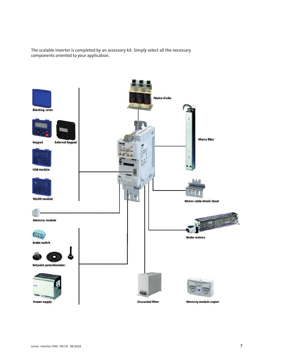The scalable inverter is completed by an accessory kit. Simply select all the necessary components oriented to your application.

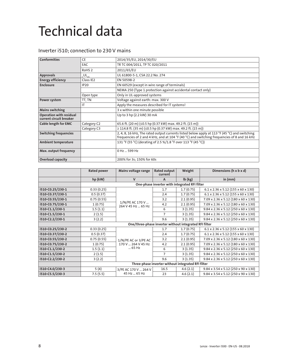### Technical data

### Inverter i510; connection to 230 V mains

| <b>Conformities</b>                                       | <b>CE</b>                     | 2014/35/EU, 2014/30/EU                                                                                                                                                                       |
|-----------------------------------------------------------|-------------------------------|----------------------------------------------------------------------------------------------------------------------------------------------------------------------------------------------|
|                                                           | EAC                           | TR TC 004/2011, TP TC 020/2011                                                                                                                                                               |
|                                                           | RoHS <sub>2</sub>             | 2011/65/EU                                                                                                                                                                                   |
| <b>Approvals</b>                                          | <sub>c</sub> UL <sub>us</sub> | UL 61800-5-1, CSA 22.2 No. 274                                                                                                                                                               |
| <b>Energy efficiency</b>                                  | Class IE2                     | EN 50598-2                                                                                                                                                                                   |
| Enclosure                                                 | <b>IP20</b>                   | EN 60529 (except in wire range of terminals)                                                                                                                                                 |
|                                                           |                               | NEMA 250 (Type 1 protection against accidental contact only)                                                                                                                                 |
|                                                           | Open type                     | Only in UL-approved systems                                                                                                                                                                  |
| Power system                                              | TT, TN                        | Voltage against earth: max. 300 V                                                                                                                                                            |
|                                                           | IT                            | Apply the measures described for IT systems!                                                                                                                                                 |
| <b>Mains switching</b>                                    |                               | 3 x within one minute possible                                                                                                                                                               |
| <b>Operation with residual</b><br>current circuit breaker |                               | Up to 3 hp (2.2 kW) 30 mA                                                                                                                                                                    |
| <b>Cable length for EMC</b>                               | Category C2                   | 65.6 ft. (20 m) (≤0.5 hp (0.37 kW) max. 49.2 ft. (15 m))                                                                                                                                     |
|                                                           | Category C3                   | $\geq$ 114.8 ft. (35 m) ( $\leq$ 0.5 hp (0.37 kW) max. 49.2 ft. (15 m))                                                                                                                      |
| <b>Switching frequencies</b>                              |                               | 2, 4, 8, 16 kHz, The rated output currents listed below apply at 113 °F (45 °C) and switching<br>frequencies of 2 and 4 kHz, and at 104 °F (40 °C) and switching frequencies of 8 and 16 kHz |
| <b>Ambient temperature</b>                                |                               | 131 °F (55 °C) (derating of 2.5 %/1.8 °F over 113 °F (45 °C))                                                                                                                                |
| Max. output frequency                                     |                               | 0 Hz  599 Hz                                                                                                                                                                                 |
| <b>Overload capacity</b>                                  |                               | 200% for 3s; 150% for 60s                                                                                                                                                                    |

|                  | <b>Rated power</b> | Mains voltage range                                    | <b>Rated output</b><br>current                     | Weight        | Dimensions (h x b x d)                                        |  |
|------------------|--------------------|--------------------------------------------------------|----------------------------------------------------|---------------|---------------------------------------------------------------|--|
|                  | hp (kW)            | $\mathsf{V}$                                           | A                                                  | $lb$ ( $kg$ ) | in $(mm)$                                                     |  |
|                  |                    |                                                        | One-phase inverter with integrated RFI filter      |               |                                                               |  |
| i510-C0.25/230-1 | 0.33(0.25)         |                                                        | 1.7                                                | 1.7(0.75)     | $6.1 \times 2.36 \times 5.12$ (155 x 60 x 130)                |  |
| i510-C0.37/230-1 | 0.5(0.37)          |                                                        | 2.4                                                | 1.7(0.75)     | $6.1 \times 2.36 \times 5.12$ (155 x 60 x 130)                |  |
| i510-C0.55/230-1 | 0.75(0.55)         |                                                        | 3.2                                                | 2.1(0.95)     | 7.09 x 2.36 x 5.12 (180 x 60 x 130)                           |  |
| i510-C0.75/230-1 | 1(0.75)            | 1/N/PE AC 170 V<br>264 V 45 Hz  65 Hz                  | 4.2                                                | 2.1(0.95)     | 7.09 x 2.36 x 5.12 (180 x 60 x 130)                           |  |
| i510-C1.1/230-1  | 1.5(1.1)           |                                                        | 6                                                  | 3(1.35)       | 9.84 x 2.36 x 5.12 (250 x 60 x 130)                           |  |
| i510-C1.5/230-1  | 2(1.5)             |                                                        | $\overline{7}$                                     | 3(1.35)       | 9.84 x 2.36 x 5.12 (250 x 60 x 130)                           |  |
| i510-C2.2/230-1  | 3(2.2)             |                                                        | 9.6                                                | 3(1.35)       | $9.84 \times 2.36 \times 5.12$ (250 $\times$ 60 $\times$ 130) |  |
|                  |                    | One/three-phase inverter without integrated RFI filter |                                                    |               |                                                               |  |
| i510-C0.25/230-2 | 0.33(0.25)         |                                                        | 1.7                                                | 1.7(0.75)     | $6.1 \times 2.36 \times 5.12$ (155 x 60 x 130)                |  |
| i510-C0.37/230-2 | 0.5(0.37)          |                                                        | 2.4                                                | 1.7(0.75)     | $6.1 \times 2.36 \times 5.12$ (155 x 60 x 130)                |  |
| i510-C0.55/230-2 | 0.75(0.55)         | 1/N/PE AC or 3/PE AC                                   | 3.2                                                | 2.1(0.95)     | 7.09 x 2.36 x 5.12 (180 x 60 x 130)                           |  |
| i510-C0.75/230-2 | 1(0.75)            | 170 V  264 V 45 Hz                                     | 4.2                                                | 2.1(0.95)     | 7.09 x 2.36 x 5.12 (180 x 60 x 130)                           |  |
| i510-C1.1/230-2  | 1.5(1.1)           | 65 Hz                                                  | 6                                                  | 3(1.35)       | 9.84 x 2.36 x 5.12 (250 x 60 x 130)                           |  |
| i510-C1.5/230-2  | 2(1.5)             |                                                        | 7                                                  | 3(1.35)       | 9.84 x 2.36 x 5.12 (250 x 60 x 130)                           |  |
| i510-C2.2/230-2  | 3(2.2)             |                                                        | 9.6                                                | 3(1.35)       | 9.84 x 2.36 x 5.12 (250 x 60 x 130)                           |  |
|                  |                    |                                                        | Three-phase inverter without integrated RFI filter |               |                                                               |  |
| i510-C4.0/230-3  | 5(4)               | 3/PE AC 170 V  264 V                                   | 16.5                                               | 4.6(2.1)      | 9.84 x 3.54 x 5.12 (250 x 90 x 130)                           |  |
| i510-C5.5/230-3  | 7.5(5.5)           | 45 Hz  65 Hz                                           | 23                                                 | 4.6(2.1)      | 9.84 x 3.54 x 5.12 (250 x 90 x 130)                           |  |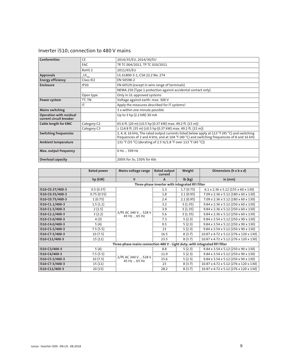| Inverter i510; connection to 480 V mains |  |  |  |
|------------------------------------------|--|--|--|
|------------------------------------------|--|--|--|

| <b>Conformities</b>                                       | CE                            | 2014/35/EU, 2014/30/EU                                                                                                                                                                       |
|-----------------------------------------------------------|-------------------------------|----------------------------------------------------------------------------------------------------------------------------------------------------------------------------------------------|
|                                                           | EAC                           | TR TC 004/2011, TP TC 020/2011                                                                                                                                                               |
|                                                           | RoHS <sub>2</sub>             | 2011/65/EU                                                                                                                                                                                   |
| <b>Approvals</b>                                          | <sub>c</sub> UL <sub>us</sub> | UL 61800-5-1, CSA 22.2 No. 274                                                                                                                                                               |
| <b>Energy efficiency</b>                                  | Class IE2                     | EN 50598-2                                                                                                                                                                                   |
| Enclosure                                                 | <b>IP20</b>                   | EN 60529 (except in wire range of terminals)                                                                                                                                                 |
|                                                           |                               | NEMA 250 (Type 1 protection against accidental contact only)                                                                                                                                 |
|                                                           | Open type                     | Only in UL-approved systems                                                                                                                                                                  |
| Power system                                              | TT, TN                        | Voltage against earth: max. 300 V                                                                                                                                                            |
|                                                           | IT                            | Apply the measures described for IT systems!                                                                                                                                                 |
| <b>Mains switching</b>                                    |                               | 3 x within one minute possible                                                                                                                                                               |
| <b>Operation with residual</b><br>current circuit breaker |                               | Up to 3 hp (2.2 kW) 30 mA                                                                                                                                                                    |
| <b>Cable length for EMC</b>                               | Category C2                   | 65.6 ft. (20 m) (≤0.5 hp (0.37 kW) max. 49.2 ft. (15 m))                                                                                                                                     |
|                                                           | Category C3                   | $\ge$ 114.8 ft. (35 m) ( $\le$ 0.5 hp (0.37 kW) max. 49.2 ft. (15 m))                                                                                                                        |
| <b>Switching frequencies</b>                              |                               | 2, 4, 8, 16 kHz, The rated output currents listed below apply at 113 °F (45 °C) and switching<br>frequencies of 2 and 4 kHz, and at 104 °F (40 °C) and switching frequencies of 8 and 16 kHz |
| <b>Ambient temperature</b>                                |                               | 131 °F (55 °C) (derating of 2.5 %/1.8 °F over 113 °F (45 °C))                                                                                                                                |
| Max. output frequency                                     |                               | 0 Hz  599 Hz                                                                                                                                                                                 |
| <b>Overload capacity</b>                                  |                               | 200% for 3s; 150% for 60s                                                                                                                                                                    |

|                  | <b>Rated power</b> | Mains voltage range                                                         | <b>Rated output</b><br>current                  | Weight        | Dimensions (h x b x d)                         |  |
|------------------|--------------------|-----------------------------------------------------------------------------|-------------------------------------------------|---------------|------------------------------------------------|--|
|                  | hp (kW)            | $\mathsf{V}$                                                                | A                                               | $Ib$ ( $kg$ ) | in $(mm)$                                      |  |
|                  |                    |                                                                             | Three-phase inverter with integrated RFI filter |               |                                                |  |
| i510-C0.37/400-3 | 0.5(0.37)          |                                                                             | 1.3                                             | 1.7(0.75)     | $6.1 \times 2.36 \times 5.12$ (155 x 60 x 130) |  |
| i510-C0.55/400-3 | 0.75(0.55)         |                                                                             | 1.8                                             | 2.1(0.95)     | 7.09 x 2.36 x 5.12 (180 x 60 x 130)            |  |
| i510-C0.75/400-3 | 1(0.75)            |                                                                             | 2.4                                             | 2.1(0.95)     | 7.09 x 2.36 x 5.12 (180 x 60 x 130)            |  |
| i510-C1.1/400-3  | 1.5(1.1)           |                                                                             | 3.2                                             | 3(1.35)       | 9.84 x 2.36 x 5.12 (250 x 60 x 130)            |  |
| i510-C1.5/400-3  | 2(1.5)             |                                                                             | 3.9                                             | 3(1.35)       | 9.84 x 2.36 x 5.12 (250 x 60 x 130)            |  |
| i510-C2.2/400-3  | 3(2.2)             | 3/PE AC 340 V  528 V<br>45 Hz  65 Hz                                        | 5.6                                             | 3(1.35)       | 9.84 x 2.36 x 5.12 (250 x 60 x 130)            |  |
| i510-C3.0/400-3  | 4(3)               |                                                                             | 7.3                                             | 5(2.3)        | 9.84 x 3.54 x 5.12 (250 x 90 x 130)            |  |
| i510-C4.0/400-3  | 5(4)               |                                                                             | 9.5                                             | 5(2.3)        | 9.84 x 3.54 x 5.12 (250 x 90 x 130)            |  |
| i510-C5.5/400-3  | 7.5(5.5)           |                                                                             | 13                                              | 5(2.3)        | 9.84 x 3.54 x 5.12 (250 x 90 x 130)            |  |
| i510-C7.5/400-3  | 10(7.5)            |                                                                             | 16.5                                            | 8(3.7)        | 10.87 x 4.72 x 5.12 (276 x 120 x 130)          |  |
| i510-C11/400-3   | 15(11)             |                                                                             | 23.5                                            | 8(3.7)        | 10.87 x 4.72 x 5.12 (276 x 120 x 130)          |  |
|                  |                    | Three-phase mains connection 480 V - Light duty; with integrated RFI filter |                                                 |               |                                                |  |
| i510-C3/400-3    | 5(4)               |                                                                             | 8.8                                             | 5(2.3)        | 9.84 x 3.54 x 5.12 (250 x 90 x 130)            |  |
| i510-C4/400-3    | 7.5(5.5)           |                                                                             | 11.9                                            | 5(2.3)        | 9.84 x 3.54 x 5.12 (250 x 90 x 130)            |  |
| i510-C5.5/400-3  | 10(7.5)            | 3/PE AC 340 V  528 V<br>45 Hz  65 Hz                                        | 15.6                                            | 5(2.3)        | 9.84 x 3.54 x 5.12 (250 x 90 x 130)            |  |
| i510-C7.5/400-3  | 15(11)             |                                                                             | 23                                              | 8(3.7)        | 10.87 x 4.72 x 5.12 (276 x 120 x 130)          |  |
| i510-C11/400-3   | 20(15)             |                                                                             | 28.2                                            | 8(3.7)        | 10.87 x 4.72 x 5.12 (276 x 120 x 130)          |  |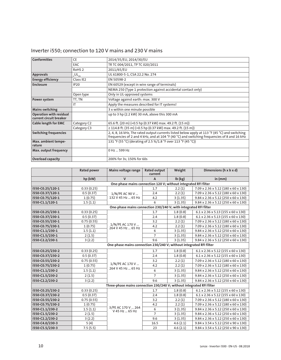| <b>Conformities</b>                                | <b>CE</b>               | 2014/35/EU, 2014/30/EU                                                                                                                                                                    |
|----------------------------------------------------|-------------------------|-------------------------------------------------------------------------------------------------------------------------------------------------------------------------------------------|
|                                                    | EAC                     | TR TC 004/2011, TP TC 020/2011                                                                                                                                                            |
|                                                    | RoHS <sub>2</sub>       | 2011/65/EU                                                                                                                                                                                |
| <b>Approvals</b>                                   | $_{c}$ UL $_{\rm us}$   | UL 61800-5-1, CSA 22.2 No. 274                                                                                                                                                            |
| <b>Energy efficiency</b>                           | Class IE2               | EN 50598-2                                                                                                                                                                                |
| <b>Enclosure</b>                                   | IP20                    | EN 60529 (except in wire range of terminals)                                                                                                                                              |
|                                                    |                         | NEMA 250 (Type 1 protection against accidental contact only)                                                                                                                              |
|                                                    | Open type               | Only in UL-approved systems                                                                                                                                                               |
| Power system                                       | TT, TN                  | Voltage against earth: max. 300 V                                                                                                                                                         |
|                                                    | IT                      | Apply the measures described for IT systems!                                                                                                                                              |
| <b>Mains switching</b>                             |                         | 3 x within one minute possible                                                                                                                                                            |
| Operation with residual<br>current circuit breaker |                         | up to 3 hp (2.2 kW) 30 mA, above this 300 mA                                                                                                                                              |
| <b>Cable length for EMC</b>                        | Category C <sub>2</sub> | 65.6 ft. (20 m) (=0.5 hp (0.37 kW) max. 49.2 ft. (15 m))                                                                                                                                  |
|                                                    | Category C3             | $\geq$ 114.8 ft. (35 m) (=0.5 hp (0.37 kW) max. 49.2 ft. (15 m))                                                                                                                          |
| <b>Switching frequencies</b>                       |                         | 2, 4, 8, 16 kHz, The rated output currents listed below apply at 113 °F (45 °C) and switching frequencies of 2 and 4 kHz, and at 104 °F (40 °C) and switching frequencies of 8 and 16 kHz |
| Max. ambient tempe-<br>rature                      |                         | 131 °F (55 °C) (derating of 2.5 %/1.8 °F over 113 °F (45 °C))                                                                                                                             |
| Max. output frequency                              |                         | 0 Hz  599 Hz                                                                                                                                                                              |
| <b>Overload capacity</b>                           |                         | 200% for 3s; 150% for 60s                                                                                                                                                                 |

### Inverter i550; connection to 120 V mains and 230 V mains

|                  | <b>Rated power</b> | Mains voltage range                                                   | <b>Rated output</b><br>current | Weight   | Dimensions (h x b x d)                          |
|------------------|--------------------|-----------------------------------------------------------------------|--------------------------------|----------|-------------------------------------------------|
|                  | hp (kW)            | $\mathsf{V}$                                                          | A                              | Ib (kg)  | in (mm)                                         |
|                  |                    | One-phase mains connection 120 V; without integrated RFI filter       |                                |          |                                                 |
| i550-C0.25/120-1 | 0.33(0.25)         |                                                                       | 1.7                            | 2.2(1)   | 7.09 x 2.36 x 5.12 (180 x 60 x 130)             |
| i550-C0.37/120-1 | 0.5(0.37)          | 1/N/PE AC 90 V                                                        | 2.4                            | 2.2(1)   | 7.09 x 2.36 x 5.12 (180 x 60 x 130)             |
| i550-C0.75/120-1 | 1(0.75)            | 132 V 45 Hz  65 Hz                                                    | 4.2                            | 3(1.35)  | 9.84 x 2.36 x 5.12 (250 x 60 x 130)             |
| i550-C1.1/120-1  | 1.5(1.1)           |                                                                       | 6                              | 3(1.35)  | 9.84 x 2.36 x 5.12 (250 x 60 x 130)             |
|                  |                    | One-phase mains connection 230/240 V; with integrated RFI filter      |                                |          |                                                 |
| i550-C0.25/230-1 | 0.33(0.25)         |                                                                       | 1.7                            | 1.8(0.8) | $6.1 \times 2.36 \times 5.13$ (155 x 60 x 130)  |
| i550-C0.37/230-1 | 0.5(0.37)          |                                                                       | 2.4                            | 1.8(0.8) | $6.1 \times 2.36 \times 5.13$ (155 x 60 x 130)  |
| i550-C0.55/230-1 | 0.75(0.55)         |                                                                       | 3.2                            | 2.2(1)   | 7.09 x 2.36 x 5.12 (180 x 60 x 130)             |
| i550-C0.75/230-1 | 1(0.75)            | 1/N/PE AC 170 V<br>264 V 45 Hz  65 Hz                                 | 4.2                            | 2.2(1)   | 7.09 x 2.36 x 5.12 (180 x 60 x 130)             |
| i550-C1.1/230-1  | 1.5(1.1)           |                                                                       | 6                              | 3(1.35)  | 9.84 x 2.36 x 5.12 (250 x 60 x 130)             |
| i550-C1.5/230-1  | 2(1.5)             |                                                                       | $\overline{7}$                 | 3(1.35)  | $9.84 \times 2.36 \times 5.12$ (250 x 60 x 130) |
| i550-C2.2/230-1  | 3(2.2)             |                                                                       | 9.6                            | 3(1.35)  | 9.84 x 2.36 x 5.12 (250 x 60 x 130)             |
|                  |                    | One-phase mains connection 230/240 V; without integrated RFI filter   |                                |          |                                                 |
| i550-C0.25/230-2 | 0.33(0.25)         |                                                                       | 1.7                            | 1.8(0.8) | $6.1 \times 2.36 \times 5.12$ (155 x 60 x 130)  |
| i550-C0.37/230-2 | 0.5(0.37)          |                                                                       | 2.4                            | 1.8(0.8) | $6.1 \times 2.36 \times 5.12$ (155 x 60 x 130)  |
| i550-C0.55/230-2 | 0.75(0.55)         |                                                                       | 3.2                            | 2.2(1)   | 7.09 x 2.36 x 5.12 (180 x 60 x 130)             |
| i550-C0.75/230-2 | 1(0.75)            | 1/N/PE AC 170 V<br>264 V 45 Hz  65 Hz                                 | 4.2                            | 2.2(1)   | 7.09 x 2.36 x 5.12 (180 x 60 x 130)             |
| i550-C1.1/230-2  | 1.5(1.1)           |                                                                       | 6                              | 3(1.35)  | 9.84 x 2.36 x 5.12 (250 x 60 x 130)             |
| i550-C1.5/230-2  | 2(1.5)             |                                                                       | $\overline{7}$                 | 3(1.35)  | 9.84 x 2.36 x 5.12 (250 x 60 x 130)             |
| i550-C2.2/230-2  | 3(2.2)             |                                                                       | 9.6                            | 3(1.35)  | 9.84 x 2.36 x 5.12 (250 x 60 x 130)             |
|                  |                    | Three-phase mains connection 230/240 V; without integrated RFI filter |                                |          |                                                 |
| i550-C0.25/230-2 | 0.33(0.25)         |                                                                       | 1.7                            | 1.8(0.8) | $6.1 \times 2.36 \times 5.12$ (155 x 60 x 130)  |
| i550-C0.37/230-2 | 0.5(0.37)          |                                                                       | 2.4                            | 1.8(0.8) | $6.1 \times 2.36 \times 5.12$ (155 x 60 x 130)  |
| i550-C0.55/230-2 | 0.75(0.55)         |                                                                       | 3.2                            | 2.2(1)   | 7.09 x 2.36 x 5.12 (180 x 60 x 130)             |
| i550-C0.75/230-2 | 1(0.75)            |                                                                       | 4.2                            | 2.2(1)   | 7.09 x 2.36 x 5.12 (180 x 60 x 130)             |
| i550-C1.1/230-2  | 1.5(1.1)           | 3/PE AC 170 V  264<br>V 45 Hz  65 Hz                                  | 6                              | 3(1.35)  | $9.84 \times 2.36 \times 5.12$ (250 x 60 x 130) |
| i550-C1.5/230-2  | 2(1.5)             |                                                                       | $\overline{7}$                 | 3(1.35)  | $9.84 \times 2.36 \times 5.12$ (250 x 60 x 130) |
| i550-C2.2/230-2  | 3(2.2)             |                                                                       | 9.6                            | 3(1.35)  | 9.84 x 2.36 x 5.12 (250 x 60 x 130)             |
| i550-C4.0/230-3  | 5(4)               |                                                                       | 16.5                           | 4.6(2.1) | 9.84 x 3.54 x 5.12 (250 x 90 x 130)             |
| i550-C5.5/230-3  | 7.5(5.5)           |                                                                       | 23                             | 4.6(2.1) | 9.84 x 3.54 x 5.12 (250 x 90 x 130)             |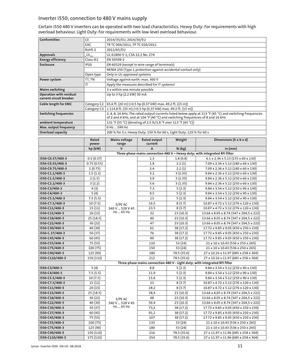### Inverter i550; connection to 480 V mains supply

Certain i550 480 V inverters can be operated with two load characteristics. Heavy Duty: For requirements with high overload behaviour. Light Duty: For requirements with low-level overload behaviour.

| <b>Conformities</b>                                | <b>CE</b>               | 2014/35/EU, 2014/30/EU                                                                                                                                                                       |
|----------------------------------------------------|-------------------------|----------------------------------------------------------------------------------------------------------------------------------------------------------------------------------------------|
|                                                    | <b>EAC</b>              | TR TC 004/2011, TP TC 020/2011                                                                                                                                                               |
|                                                    | RoHS <sub>2</sub>       | 2011/65/EU                                                                                                                                                                                   |
| <b>Approvals</b>                                   | $c$ UL <sub>us</sub>    | UL 61800-5-1, CSA 22.2 No. 274                                                                                                                                                               |
| <b>Energy efficiency</b>                           | Class IE2               | EN 50598-2                                                                                                                                                                                   |
| <b>Enclosure</b>                                   | <b>IP20</b>             | EN 60529 (except in wire range of terminals)                                                                                                                                                 |
|                                                    |                         | NEMA 250 (Type 1 protection against accidental contact only)                                                                                                                                 |
|                                                    | Open type               | Only in UL-approved systems                                                                                                                                                                  |
| Power system                                       | TT, TN                  | Voltage against earth: max. 300 V                                                                                                                                                            |
|                                                    | IT                      | Apply the measures described for IT systems!                                                                                                                                                 |
| <b>Mains switching</b>                             |                         | 3 x within one minute possible                                                                                                                                                               |
| Operation with residual<br>current circuit breaker |                         | Up to 3 hp (2.2 kW) 30 mA                                                                                                                                                                    |
| <b>Cable length for EMC</b>                        | Category C <sub>2</sub> | 65.6 ft. (20 m) (=0.5 hp (0.37 kW) max. 49.2 ft. (15 m))                                                                                                                                     |
|                                                    | Category C3             | $\geq$ 114.8 ft. (35 m) (=0.5 hp (0.37 kW) max. 49.2 ft. (15 m))                                                                                                                             |
| <b>Switching frequencies</b>                       |                         | 2, 4, 8, 16 kHz, The rated output currents listed below apply at 113 °F (45 °C) and switching frequencies<br>of 2 and 4 kHz, and at 104 °F (40 °C) and switching frequencies of 8 and 16 kHz |
| ambient temperature                                |                         | 131 °F (55 °C) (derating of 2.5 %/1.8 °F over 113 °F (45 °C))                                                                                                                                |
| Max. output frequency                              |                         | 0 Hz  599 Hz                                                                                                                                                                                 |
| <b>Overload capacity</b>                           |                         | 200 % for 3 s; Heavy Duty: 150 % for 60 s, Light Duty: 120 % für 60 s                                                                                                                        |

|                  | Rated<br>power | <b>Mains voltage</b><br>range | Rated output<br>current                                                     | Weight                                                                      | Dimensions (h x b x d)                          |  |  |
|------------------|----------------|-------------------------------|-----------------------------------------------------------------------------|-----------------------------------------------------------------------------|-------------------------------------------------|--|--|
|                  | hp (kW)        | $\mathsf{V}$                  | A                                                                           | $lb$ ( $kg$ )                                                               | in (mm)                                         |  |  |
|                  |                |                               | Three-phase mains connection 480 V - Heavy duty; with integrated RFI filter |                                                                             |                                                 |  |  |
| i550-C0.37/400-3 | 0.5(0.37)      |                               | 1.3                                                                         | 1.8(0.8)                                                                    | $6.1 \times 2.36 \times 5.13$ (155 x 60 x 130)  |  |  |
| i550-C0.55/400-3 | 0.75(0.55)     |                               | 1.8                                                                         | 2.2(1)                                                                      | 7.09 x 2.36 x 5.12 (180 x 60 x 130)             |  |  |
| i550-C0.75/400-3 | 1(0.75)        |                               | 2.4                                                                         | 2.2(1)                                                                      | 7.09 x 2.36 x 5.12 (180 x 60 x 130)             |  |  |
| i550-C1.1/400-3  | 1.5(1.1)       |                               | 3.2                                                                         | 3(1.35)                                                                     | $9.84 \times 2.36 \times 5.12$ (250 x 60 x 130) |  |  |
| i550-C1.5/400-3  | 2(1.5)         |                               | 3.9                                                                         | 3(1.35)                                                                     | 9.84 x 2.36 x 5.12 (250 x 60 x 130)             |  |  |
| i550-C2.2/400-3  | 3(2.2)         |                               | 5.6                                                                         | 3(1.35)                                                                     | 9.84 x 2.36 x 5.12 (250 x 60 x 130)             |  |  |
| i550-C3/400-3    | 4(3)           |                               | 7.3                                                                         | 5(2.3)                                                                      | $9.84 \times 3.54 \times 5.12$ (250 x 90 x 130) |  |  |
| i550-C4/400-3    | 5(4)           |                               | 9.5                                                                         | 5(2.3)                                                                      | 9.84 x 3.54 x 5.12 (250 x 90 x 130)             |  |  |
| i550-C5.5/400-3  | 7.5(5.5)       |                               | 13                                                                          | 5(2.3)                                                                      | 9.84 x 3.54 x 5.12 (250 x 90 x 130)             |  |  |
| i550-C7.5/400-3  | 10(7.5)        | 3/PE AC                       | 16.5                                                                        | 8(3.7)                                                                      | 10.87 x 4.72 x 5.12 (276 x 120 x 130)           |  |  |
| i550-C11/400-3   | 15(11)         | 340 V  528 V 45               | 23.5                                                                        | 8(3.7)                                                                      | 10.87 x 4.72 x 5.12 (276 x 120 x 130)           |  |  |
| i550-C15/400-3   | 20(15)         | Hz  65 Hz                     | 32                                                                          | 23(10.3)                                                                    | 13.66 x 8.05 x 8.74 (347 x 204,5 x 222)         |  |  |
| i550-C18/400-3   | 25(18.5)       |                               | 40                                                                          | 23(10.3)                                                                    | 13.66 x 8.05 x 8.74 (347 x 204,5 x 222)         |  |  |
| i550-C22/400-3   | 30(22)         |                               | 47                                                                          | 23(10.3)                                                                    | 13.66 x 8.05 x 8.74 (347 x 204,5 x 222)         |  |  |
| i550-C30/400-3   | 40 (30)        |                               | 61                                                                          | 38 (17.2)                                                                   | 17.72 x 9.85 x 9.05 (450 x 250 x 230)           |  |  |
| i550-C.37/400-3  | 50 (37)        |                               | 76                                                                          | 38 (17.2)                                                                   | 17.72 x 9.85 x 9.05 (450 x 250 x 230)           |  |  |
| i550-C45/400-3   | 60(45)         |                               | 89                                                                          | 38 (17.2)                                                                   | 17.72 x 9.85 x 9.05 (450 x 250 x 230)           |  |  |
| i550-C55/400-3   | 75 (55)        |                               | 110                                                                         | 53 (24)                                                                     | 21 x 10 x 10.43 (536 x 250 x 265)               |  |  |
| i550-C75/400-3   | 100 (75)       |                               | 150                                                                         | 53 (24)                                                                     | 21 x 10 x 10.43 (536 x 250 x 265)               |  |  |
| i550-C90/400-3   | 125 (90)       |                               | 180                                                                         | 78.5 (35.6)                                                                 | 27 x 10.16 x 11.97 (685 x 258 x 304)            |  |  |
| i550-C110/400-3  | 150 (110)      |                               | 212                                                                         | 78.5 (35.6)                                                                 | 27 x 10.16 x 11.97 (685 x 258 x 304)            |  |  |
|                  |                |                               |                                                                             | Three-phase mains connection 480 V - Light duty; with integrated RFI filter |                                                 |  |  |
| i550-C3/400-3    | 5(4)           |                               | 8.8                                                                         | 5(2.3)                                                                      | 9.84 x 3.54 x 5.12 (250 x 90 x 130)             |  |  |
| i550-C4/400-3    | 7.5(5.5)       |                               | 11.9                                                                        | 5(2.3)                                                                      | 9.84 x 3.54 x 5.12 (250 x 90 x 130)             |  |  |
| i550-C5.5/400-3  | 10(7.5)        |                               | 15.6                                                                        | 5(2.3)                                                                      | 9.84 x 3.54 x 5.12 (250 x 90 x 130)             |  |  |
| i550-C7.5/400-3  | 15(11)         |                               | 23                                                                          | 8(3.7)                                                                      | 10.87 x 4.72 x 5.12 (276 x 120 x 130)           |  |  |
| i550-C11/400-3   | 20(15)         |                               | 28.2                                                                        | 8(3.7)                                                                      | 10.87 x 4.72 x 5.12 (276 x 120 x 130)           |  |  |
| i550-C15/400-3   | 25(18.5)       |                               | 38,4                                                                        | 23(10.3)                                                                    | 13.66 x 8.05 x 8.74 (347 x 204,5 x 222)         |  |  |
| i550-C18/400-3   | 30(22)         | 3/PE AC                       | 48                                                                          | 23(10.3)                                                                    | 13.66 x 8.05 x 8.74 (347 x 204,5 x 222)         |  |  |
| i550-C22/400-3   | 40 (30)        | 340 V  528 V 45               | 56.4                                                                        | 23(10.3)                                                                    | 13.66 x 8.05 x 8.74 (347 x 204,5 x 222)         |  |  |
| i550-C30/400-3   | 50 (37)        | Hz  65 Hz                     | 73,2                                                                        | 38 (17.2)                                                                   | 17.72 x 9.85 x 9.05 (450 x 250 x 230)           |  |  |
| i550-C37/400-3   | 60 (45)        |                               | 91,2                                                                        | 38 (17.2)                                                                   | 17.72 x 9.85 x 9.05 (450 x 250 x 230)           |  |  |
| i550-C45/400-3   | 75 (55)        |                               | 107                                                                         | 38 (17.2)                                                                   | 17.72 x 9.85 x 9.05 (450 x 250 x 230)           |  |  |
| i550-C55/400-3   | 100 (75)       |                               | 132                                                                         | 53 (24)                                                                     | 21 x 10 x 10.43 (536 x 250 x 265)               |  |  |
| i550-C75/400-3   | 125 (90)       |                               | 180                                                                         | 53 (24)                                                                     | 21 x 10 x 10.43 (536 x 250 x 265)               |  |  |
| i550-C90/400-3   | 150 (110)      |                               | 216                                                                         | 78.5 (35.6)                                                                 | 27 x 11.97 x 11.96 (685 x 258 x 304)            |  |  |
| i550-C110/400-3  | 175 (132)      |                               | 254                                                                         | 78.5 (35.6)                                                                 | 27 x 11.97 x 11.96 (685 x 258 x 304)            |  |  |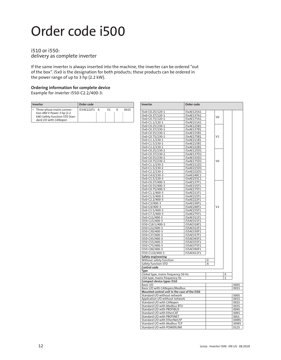### Order code i500

#### i510 or i550: delivery as complete inverter

If the same inverter is always inserted into the machine, the inverter can be ordered "out of the box". i5x0 is the designation for both products; these products can be ordered in the power range of up to 3 hp (2.2 kW).

#### **Ordering information for complete device**

Example for inverter i550-C2.2/400-3:

| Inverter                                                                                                          | Order code   |    |      |
|-------------------------------------------------------------------------------------------------------------------|--------------|----|------|
| Three-phase mains connec-<br>tion 480 V Power 3 hp (2.2<br>kW) Safety function STO Stan-<br>dard I/O with CANopen | i55AE222F1 A | V1 | 0025 |

| Inverter                                      | Order code               |   |                |   |      |
|-----------------------------------------------|--------------------------|---|----------------|---|------|
| i5x0-C0.25/120-1                              | i5xAE125A1               |   |                |   |      |
| i5x0-C0.37/120-1                              | i5xAE137A1               |   | V <sub>0</sub> |   |      |
| i5x0-C0.75/120-1                              | i5xAE175A1               |   |                |   |      |
| i5x0-C1.1/120-1                               | i5xAE211A1               |   |                |   |      |
| i5x0-C0.25/230-1                              | i5xAE125B1               |   |                |   |      |
| i5x0-C0.37/230-1                              | i5xAE137B1               |   |                |   |      |
| i5x0-C0.55/230-1                              | i5xAE155B1               |   |                |   |      |
| i5x0-C0.75/230-1                              | i5xAE175B1               |   | V1             |   |      |
| i5x0-C1.1/230-1                               | i5xAE211B1               |   |                |   |      |
| i5x0-C1.5/230-1                               | i5xAE215B1               |   |                |   |      |
| i5x0-C2.2/230-1                               | i5xAE222B1               |   |                |   |      |
| i5x0-C0.25/230-2                              | i5xAE125D1               |   |                |   |      |
| i5x0-C0.37/230-2                              | i5xAE137D1               |   |                |   |      |
| i5x0-C0.55/230-2                              | i5xAE155D1               |   |                |   |      |
| i5x0-C0.75/230-2                              | i5xAE175D1               |   | V <sub>0</sub> |   |      |
| i5x0-C1.1/230-2                               | i5xAE211D1               |   |                |   |      |
| i5x0-C1.5/230-2                               | i5xAE215D1               |   |                |   |      |
| i5x0-C2.2/230-2                               | i5xAE222D1               |   |                |   |      |
| i5x0-C4.0/230-3                               | i5xAE240C1               |   |                |   |      |
| i5x0-C5.5/230-3                               | i5xAE255C1               |   |                |   |      |
| i5x0-C0.37/400-3                              | i5xAE137F1               |   |                |   |      |
| i5x0-C0.55/400-3                              | i5xAE155F1               |   |                |   |      |
| i5x0-C0.75/400-3                              | i5xAE175F1               |   |                |   |      |
| i5x0-C1.1/400-3                               | i5xAE211F1               |   |                |   |      |
| i5x0-C1.5/400-3                               | i5xAE215F1               |   |                |   |      |
| i5x0-C2.2/400-3                               | i5xAE222F1               |   |                |   |      |
| i5x0-C3/400-3                                 | i5xAE230F1               |   |                |   |      |
| i5x0-C4/400-3                                 | i5xAE240F1               |   | V1             |   |      |
| i5x0-C5.5/400-3                               | i5xAE255F1               |   |                |   |      |
| i5x0-C7.5/400-3                               | i5xAE275F1               |   |                |   |      |
| i5x0-C11/400-3                                | i5xAE311F1<br>i55AE315F1 |   |                |   |      |
| i550-C15/400-3<br>i550-C18.5/400-3            | i55AE318F1               |   |                |   |      |
| i550-C22/400-3                                | i55AE322F1               |   |                |   |      |
| i550-C30/400-3                                | i55AE330F1               |   |                |   |      |
| i550-C37/400-3                                | i55AE337F1               |   |                |   |      |
| i550-C45/400-3                                | i55AE345F1               |   |                |   |      |
| i550-C55/400-3                                | i55AE355F1               |   |                |   |      |
| i550-C75/400-3                                | i55AE375F1               |   |                |   |      |
| i550-C90/400-3                                | i55AE390F1               |   |                |   |      |
| i550-C110/400-3                               | i55AE411F1               |   |                |   |      |
|                                               |                          |   |                |   |      |
| Safety engineering<br>Without safety function |                          | 0 |                |   |      |
| Safety function STO                           |                          | Α |                |   |      |
| Control code                                  |                          |   |                |   |      |
| Type                                          |                          |   |                |   |      |
| Global type, mains frequency 50 Hz            |                          |   |                | 0 |      |
| USA type, mains frequency Hz                  |                          |   |                | 1 |      |
| Compact device types i510                     |                          |   |                |   |      |
| Basic I/O                                     |                          |   |                |   | 000S |
| Basic I/O with CANopen/Modbus                 |                          |   |                |   | 001S |
| Mounted control unit in the case of the i550  |                          |   |                |   |      |
| Standard I/O without network                  |                          |   |                |   | 000S |
| Application I/O without network               |                          |   |                |   | 001S |
| Standard I/O with CANopen                     |                          |   |                |   | 002S |
| Standard I/O with Modbus RTU                  |                          |   |                |   | 003S |
| Standard I/O with PROFIBUS                    |                          |   |                |   | 004S |
| Standard I/O with EtherCAT                    |                          |   |                |   | 00KS |
| Standard I/O with PROFINET                    |                          |   |                |   | 00LS |
| Standard I/O with EtherNet/IP                 |                          |   |                |   | 00MS |
| Standard I/O with Modbus TCP                  |                          |   |                |   | 00WS |
| Standard I/O with POWERLINK                   |                          |   |                |   | 0125 |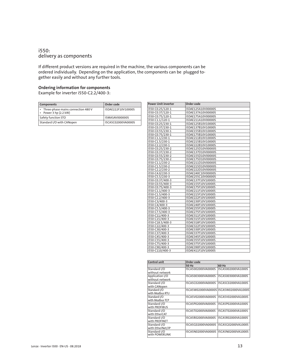#### i550: delivery as components

If different product versions are required in the machine, the various components can be ordered individually. Depending on the application, the components can be plugged together easily and without any further tools.

#### **Ordering information for components**

Example for inverter i550-C2.2/400-3:

| <b>Components</b>                                           | Order code            |
|-------------------------------------------------------------|-----------------------|
| • Three-phase mains connection 480 V<br>Power 3 hp (2.2 kW) | I5DAE222F10V10000S    |
| Safety function STO                                         | <b>I5MASAV000000S</b> |
| Standard I/O with CANopen                                   | I5CA5C02000VA0000S    |

| <b>Power Unit inverter</b> | Order code         |
|----------------------------|--------------------|
| i550-C0.25/120-1           | i5DAE125A10V00000S |
| i550-C0.37/120-1           | i5DAE137A10V00000S |
| i550-C0.75/120-1           | i5DAE175A10V00000S |
| i550-C1.1/120-1            | i5DAE211A10V00000S |
| i550-C0.25/230-1           | i5DAE125B10V10000S |
| i550-C0.37/230-1           | i5DAE137B10V10000S |
| i550-C0.55/230-1           | i5DAE155B10V10000S |
| i550-C0.75/230-1           | i5DAE175B10V10000S |
| i550-C1.1/230-1            | i5DAE211B10V10000S |
| i550-C1.5/230-1            | i5DAE215B10V10000S |
| i550-C2.2/230-1            | i5DAE222B10V10000S |
| i550-C0.25/230-2           | i5DAE125D10V00000S |
| i550-C0.37/230-2           | i5DAE137D10V00000S |
| i550-C0.55/230-2           | i5DAE155D10V00000S |
| i550-C0.75/230-2           | i5DAE175D10V00000S |
| i550-C1.1/230-2            | i5DAE211D10V00000S |
| i550-C1.5/230-2            | i5DAE215D10V00000S |
| i550-C2.2/230-2            | i5DAE222D10V00000S |
| i550-C4.0/230-3            | i5DAE240C10V00000S |
| i550-C5.5/230-3            | i5DAE255C10V00000S |
| i550-C0.37/400-3           | i5DAE137F10V10000S |
| i550-C0.55/400-3           | i5DAE155F10V10000S |
| i550-C0.75/400-3           | i5DAE175F10V10000S |
| i550-C1.1/400-3            | i5DAE211F10V10000S |
| i550-C1.5/400-3            | i5DAE215F10V10000S |
| i550-C2.2/400-3            | i5DAE222F10V10000S |
| i550-C3/400-3              | i5DAE230F10V10000S |
| i550-C4/400-3              | i5DAE240F10V10000S |
| i550-C5.5/400-3            | i5DAE255F10V10000S |
| i550-C7.5/400-3            | i5DAE275F10V10000S |
| i550-C11/400-3             | i5DAE311F10V10000S |
| i550-C15/400-3             | i5DAE315F10V10000S |
| i550-C18.5/400-3           | i5DAE318F10V10000S |
| i550-C22/400-3             | i5DAE322F10V10000S |
| i550-C30/400-3             | i5DAE330F10V10000S |
| i550-C37/400-3             | i5DAE337F10V10000S |
| i550-C45/400-3             | i5DAE345F10V10000S |
| i550-C55/400-3             | i5DAE355F10V10000S |
| i550-C75/400-3             | i5DAE375F10V10000S |
| i550-C90/400-3             | i5DAE390F10V10000S |
| i550-C110/400-3            | i5DAE411F10V10000S |

| <b>Control unit</b> | Order code         |                                       |
|---------------------|--------------------|---------------------------------------|
|                     | 50 Hz              | 60 Hz                                 |
| Standard I/O        | I5CA5002000VA0000S | I5CA5002000VA1000S                    |
| without network     |                    |                                       |
| Application I/O     | I5CA5003000VA0000S | I5CA5003000VA1000S                    |
| without network     |                    |                                       |
| Standard I/O        | I5CA5C02000VA0000S | I5CA5C02000VA1000S                    |
| with CANopen        |                    |                                       |
| Standard I/O        |                    | I5CA5W02000VA0000S I5CA5W02000VA1000S |
| with Modbus RTU     |                    |                                       |
| Standard I/O        | I5CA5V02000VA0000S | I5CA5V02000VA1000S                    |
| with Modbus TCP     |                    |                                       |
| Standard I/O        | I5CA5P02000VA0000S | I5CA5P02000VA1000S                    |
| with PROFIBUS       |                    |                                       |
| Standard I/O        | I5CA5T02000VA0000S | I5CA5T02000VA1000S                    |
| with EtherCAT       |                    |                                       |
| Standard I/O        | I5CA5R02000VA0000S | I5CA5R02000VA1000S                    |
| with PROFINET       |                    |                                       |
| Standard I/O        | I5CA5G02000VA0000S | I5CA5G02000VA1000S                    |
| with EtherNet/IP    |                    |                                       |
| Standard I/O        | I5CA5N02000VA0000S | I5CA5N02000VA1000S                    |
| with POWERLINK      |                    |                                       |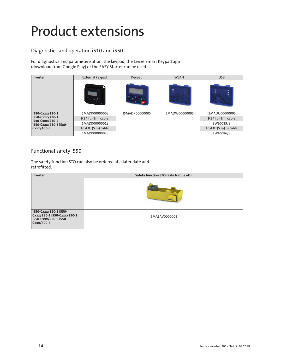## Product extensions

### Diagnostics and operation i510 and i550

For diagnostics and parameterisation, the keypad, the Lenze Smart Keypad app (download from Google Play) or the EASY Starter can be used.

| Inverter                           | External keypad       | Keypad                | <b>WLAN</b>                          | <b>USB</b>             |
|------------------------------------|-----------------------|-----------------------|--------------------------------------|------------------------|
|                                    |                       |                       | ₹<br><b>Power a</b><br>ture.<br>was. | <b>STARTHING</b>       |
| i550-Cxxx/120-1                    | <b>I5MADR0000000S</b> | <b>I5MADK0000000S</b> | I5MADW0000000S                       | <b>I5MADU0000000S</b>  |
| i5x0-Cxxx/230-1<br>i5x0-Cxxx/230-2 | 9.84 ft. (3m) cable   |                       |                                      | 9.84 ft. (3m) cable    |
| i550-Cxxx/230-3 i5x0-              | I5MADR0000001S        |                       |                                      | EWL0085/S              |
| Cxxx/400-3                         | 16.4 ft. (5 m) cable  |                       |                                      | 16.4 ft. (5 m) m cable |
|                                    | I5MADR0000002S        |                       |                                      | EWL0086/S              |

#### Functional safety i550

The safety function STO can also be ordered at a later date and retrofitted.

| Inverter                                                                                   | Safety function STO (Safe torque off) |
|--------------------------------------------------------------------------------------------|---------------------------------------|
|                                                                                            | <b>CCC</b>                            |
| i550-Cxxx/120-1 i550-<br>Cxxx/230-1 i550-Cxxx/230-2<br>i550-Cxxx/230-3 i550-<br>Cxxx/400-3 | I5MASAV000000S                        |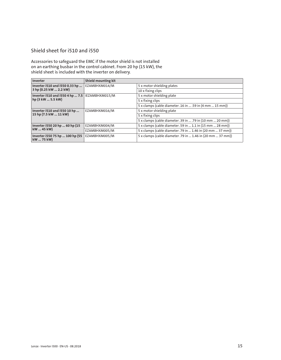### Shield sheet for i510 and i550

Accessories to safeguard the EMC if the motor shield is not installed on an earthing busbar in the control cabinet. From 20 hp (15 kW), the shield sheet is included with the inverter on delivery.

| Inverter                                      | <b>Shield mounting kit</b> |                                                            |
|-----------------------------------------------|----------------------------|------------------------------------------------------------|
| Inverter i510 and i550 0.33 hp                | EZAMBHXM014/M              | 5 x motor shielding plates                                 |
| 3 hp (0.25 kW  2.2 kW)                        |                            | 10 x fixing clips                                          |
| Inverter i510 and i550 4 hp  7.5              | IEZAMBHXM015/M             | 5 x motor shielding plate                                  |
| hp (3 kW  5.5 kW)                             |                            | 5 x fixing clips                                           |
|                                               |                            | 5 x clamps (cable diameter .16 in  .59 in (4 mm  15 mm))   |
| Inverter i510 and i550 10 hp                  | EZAMBHXM016/M              | 5 x motor shielding plate                                  |
| 15 hp (7.5 kW  11 kW)                         |                            | 5 x fixing clips                                           |
|                                               |                            | 5 x clamps (cable diameter .39 in  .79 in (10 mm  20 mm))  |
| Inverter i550 20 hp  60 hp (15                | EZAMBHXM004/M              | 5 x clamps (cable diameter .59 in  1.1 in (15 mm  28 mm))  |
| kW  45 kW)                                    | EZAMBHXM005/M              | 5 x clamps (cable diameter .79 in  1.46 in (20 mm  37 mm)) |
| Inverter i550 75 hp  100 hp (55<br>kW  75 kW) | EZAMBHXM005/M              | 5 x clamps (cable diameter .79 in  1.46 in (20 mm  37 mm)) |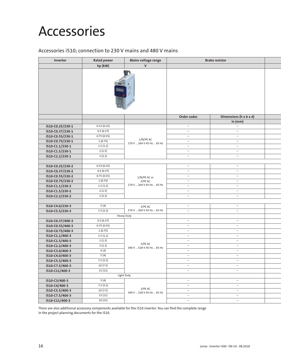### Accessories

#### Accessories i510; connection to 230 V mains and 480 V mains

| Inverter                           | <b>Rated power</b> | Mains voltage range       |                          | <b>Brake resistor</b>    |  |
|------------------------------------|--------------------|---------------------------|--------------------------|--------------------------|--|
|                                    | hp (kW)            | V                         |                          |                          |  |
|                                    |                    |                           |                          |                          |  |
|                                    |                    |                           |                          |                          |  |
|                                    |                    |                           |                          |                          |  |
|                                    |                    |                           |                          |                          |  |
|                                    |                    |                           |                          |                          |  |
|                                    |                    |                           |                          |                          |  |
|                                    |                    |                           |                          |                          |  |
|                                    |                    |                           |                          |                          |  |
|                                    |                    |                           | Order codes              | Dimensions (h x b x d)   |  |
|                                    |                    |                           |                          | in $(mm)$                |  |
| i510-C0.25/230-1                   | 0.33(0.25)         |                           | $\sim$                   | $\sim$                   |  |
| i510-C0.37/230-1                   | 0.5(0.37)          |                           | $\sim$                   | $\sim$                   |  |
| i510-C0.55/230-1                   | 0.75(0.55)         |                           | $\sim$                   | $\sim$                   |  |
| i510-C0.75/230-1                   | 1(0.75)            | 1/N/PE AC                 | $\sim$                   | $\sim$                   |  |
| i510-C1.1/230-1                    | 1.5(1.1)           | 170 V  264 V 45 Hz  65 Hz | $\overline{\phantom{a}}$ | $\sim$                   |  |
| i510-C1.5/230-1                    | 2(1.5)             |                           | $\sim$                   | $\sim$                   |  |
| i510-C2.2/230-1                    | 3(2.2)             |                           | $\sim$                   | $\sim$                   |  |
|                                    |                    |                           |                          |                          |  |
| i510-C0.25/230-2                   | 0.33(0.25)         |                           | $\overline{\phantom{a}}$ | $\overline{\phantom{a}}$ |  |
| i510-C0.37/230-2                   | 0.5(0.37)          |                           | $\equiv$                 | $\overline{\phantom{m}}$ |  |
| i510-C0.55/230-2                   | 0.75(0.55)         | 1/N/PE AC or              | $\sim$                   | $\sim$                   |  |
| i510-C0.75/230-2                   | 1(0.75)            | 3/PE AC                   | $\sim$                   | $\sim$                   |  |
| i510-C1.1/230-2                    | 1.5(1.1)           | 170 V  264 V 45 Hz  65 Hz | $\sim$                   | $\sim$                   |  |
| i510-C1.5/230-2                    | 2(1.5)             |                           | $\overline{\phantom{a}}$ | $ \,$                    |  |
| i510-C2.2/230-2                    | 3(2.2)             |                           | $\sim$                   | $\sim$                   |  |
|                                    |                    |                           |                          |                          |  |
| i510-C4.0/230-3                    | 5(4)               | 3/PE AC                   | $\sim$                   | $\sim$                   |  |
| i510-C5.5/230-3                    | 7.5(5.5)           | 170 V  264 V 45 Hz  65 Hz | $\sim$                   | $\overline{\phantom{a}}$ |  |
|                                    |                    | Heavy Duty                |                          |                          |  |
| i510-C0.37/400-3                   | 0.5(0.37)          |                           | $\sim$                   | $\sim$                   |  |
| i510-C0.55/400-3                   | 0.75(0.55)         |                           | $\sim$                   | $\sim$                   |  |
| i510-C0.75/400-3                   | 1(0.75)            |                           | $\sim$                   | $\sim$                   |  |
| i510-C1.1/400-3                    | 1.5(1.1)           |                           | $\sim$                   | $\overline{\phantom{a}}$ |  |
| i510-C1.5/400-3                    | 2(1.5)             | 3/PE AC                   | $\sim$<br>$\sim$         | $\sim$<br>$\sim$         |  |
| i510-C2.2/400-3<br>i510-C3.0/400-3 | 3(2.2)<br>4(3)     | 340 V  528 V 45 Hz  65 Hz | $\overline{\phantom{a}}$ | $\overline{\phantom{a}}$ |  |
| i510-C4.0/400-3                    | 5(4)               |                           | $\sim$                   | $\sim$                   |  |
| i510-C5.5/400-3                    | 7.5(5.5)           |                           | $\sim$                   | $\overline{\phantom{a}}$ |  |
| i510-C7.5/400-3                    | 10(7.5)            |                           | $\sim$                   | $\sim$                   |  |
| i510-C11/400-3                     | 15(11)             |                           | $\sim$                   | $\sim$                   |  |
|                                    |                    | Light Duty                |                          |                          |  |
| i510-C3/400-3                      | 5(4)               |                           | $\sim$                   | $\sim$                   |  |
| i510-C4/400-3                      | 7.5(5.5)           |                           | $\sim$                   | $\sim$                   |  |
| i510-C5.5/400-3                    | 10(7.5)            | 3/PE AC                   | $\sim$                   | $\sim$                   |  |
| i510-C7.5/400-3                    | 15 (11)            | 340 V  528 V 45 Hz  65 Hz | $\sim$                   | $\sim$                   |  |
| i510-C11/400-3                     | 20(15)             |                           | $\sim$                   | $\sim$                   |  |
|                                    |                    |                           |                          |                          |  |

There are also additional accessory components available for the i510 inverter. You can find the complete range in the project planning documents for the i510.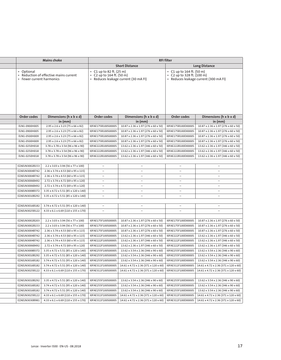|                                         | Mains choke                                     |                                                     |                                                                                | <b>RFI filter</b>                                       |                                       |
|-----------------------------------------|-------------------------------------------------|-----------------------------------------------------|--------------------------------------------------------------------------------|---------------------------------------------------------|---------------------------------------|
|                                         |                                                 |                                                     | <b>Short Distance</b>                                                          |                                                         | <b>Long Distance</b>                  |
| • Optional<br>• Fewer current harmonics | • Reduction of effective mains current          | C1 up to 82 ft. (25 m)<br>$C2$ up to 164 ft. (50 m) | Reduces leakage current (30 mA FI)                                             | • C1 up to 164 ft. (50 m)<br>• C2 up to 328 ft. (100 m) | • Reduces leakage current (300 mA FI) |
| Order codes                             | Dimensions (h x b x d)                          | Order codes                                         | Dimensions (h x b x d)                                                         | Order codes                                             | Dimensions (h x b x d)                |
|                                         | in $(mm)$                                       |                                                     | in $(mm)$                                                                      |                                                         | in $(mm)$                             |
| ELN1-0900H005                           | 2.95 x 2.6 x 3.23 (75 x 66 x 82)                | I0FAE175B100S0000S                                  | 10.87 x 2.36 x 1.97 (276 x 60 x 50)                                            | I0FAE175B100D0000S                                      | 10.87 x 2.36 x 1.97 (276 x 60 x 50)   |
| ELN1-0900H005                           | 2.95 x 2.6 x 3.23 (75 x 66 x 82)                | I0FAE175B100S0000S                                  | 10.87 x 2.36 x 1.97 (276 x 60 x 50)                                            | I0FAE175B100D0000S                                      | 10.87 x 2.36 x 1.97 (276 x 60 x 50)   |
| ELN1-0500H009                           | 2.95 x 2.6 x 3.23 (75 x 66 x 82)                | I0FAE175B100S0000S                                  | 10.87 x 2.36 x 1.97 (276 x 60 x 50)                                            | I0FAE175B100D0000S                                      | 10.87 x 2.36 x 1.97 (276 x 60 x 50)   |
| ELN1-0500H009                           | 2.95 x 2.6 x 3.23 (75 x 66 x 82)                | I0FAE175B100S0000S                                  | 10.87 x 2.36 x 1.97 (276 x 60 x 50)                                            | I0FAE175B100D0000S                                      | 10.87 x 2.36 x 1.97 (276 x 60 x 50)   |
| ELN1-0250H018                           | 3.78 x 3.78 x 3.54 (96 x 96 x 90)               | I0FAE222B100S0000S                                  | 13.62 x 2.36 x 1.97 (346 x 60 x 50)                                            | I0FAE222B100D0000S                                      | 13.62 x 2.36 x 1.97 (346 x 60 x 50)   |
| ELN1-0250H018                           | 3.78 x 3.78 x 3.54 (96 x 96 x 90)               | I0FAE222B100S0000S                                  | 13.62 x 2.36 x 1.97 (346 x 60 x 50)                                            | I0FAE222B100D0000S                                      | 13.62 x 2.36 x 1.97 (346 x 60 x 50)   |
| ELN1-0250H018                           | 3.78 x 3.78 x 3.54 (96 x 96 x 90)               | I0FAE222B100S0000S                                  | 13.62 x 2.36 x 1.97 (346 x 60 x 50)                                            | I0FAE222B100D0000S                                      | 13.62 x 2.36 x 1.97 (346 x 60 x 50)   |
|                                         |                                                 |                                                     |                                                                                |                                                         |                                       |
| EZAELN3002B153                          | 2.2 x 3.03 x 3.94 (56 x 77 x 100)               | $\overline{\phantom{m}}$                            | $\sim$                                                                         | $\overline{\phantom{a}}$                                | $\overline{\phantom{m}}$              |
| EZAELN3004B742                          | 2.36 x 3.74 x 4.53 (60 x 95 x 115)              | $\overline{\phantom{m}}$                            | $\overline{\phantom{m}}$                                                       | $\qquad \qquad$                                         |                                       |
| EZAELN3004B742                          | 2.36 x 3.74 x 4.53 (60 x 95 x 115)              | $\overline{\phantom{a}}$                            | $\overline{\phantom{a}}$                                                       |                                                         |                                       |
| EZAELN3006B492                          | 2.72 x 3.74 x 4.72 (69 x 95 x 120)              | $\overline{\phantom{a}}$                            | $\overline{\phantom{m}}$                                                       | $\overline{\phantom{a}}$                                | $\overline{\phantom{0}}$              |
| EZAELN3006B492                          | 2.72 x 3.74 x 4.72 (69 x 95 x 120)              | $\overline{\phantom{m}}$                            | $\overline{\phantom{m}}$                                                       | $\overline{\phantom{a}}$                                | $\overline{\phantom{0}}$              |
| EZAELN3008B372                          | 3.35 x 4.72 x 5.51 (85 x 120 x 140)             | $\overline{\phantom{m}}$                            | $\overline{\phantom{m}}$                                                       | $\overline{\phantom{m}}$                                |                                       |
| EZAELN3010B292                          | 3.35 x 4.72 x 5.51 (85 x 120 x 140)             | $\overline{\phantom{a}}$                            |                                                                                |                                                         |                                       |
|                                         |                                                 |                                                     |                                                                                |                                                         |                                       |
| EZAELN3016B182                          | 3.74 x 4.72 x 5.51 (95 x 120 x 140)             | $\overline{\phantom{a}}$                            | $\overline{\phantom{m}}$                                                       | $\overline{\phantom{0}}$                                | $\overline{\phantom{m}}$              |
| EZAELN3025B122                          | $4.33 \times 6.1 \times 6.69$ (110 x 155 x 170) | $\overline{\phantom{m}}$                            | $\overline{\phantom{m}}$                                                       | $\overline{\phantom{a}}$                                |                                       |
|                                         |                                                 |                                                     |                                                                                |                                                         |                                       |
|                                         |                                                 | I0FAE175F100S0000S                                  |                                                                                |                                                         |                                       |
| EZAELN3002B203                          | 2.2 x 3.03 x 3.94 (56 x 77 x 100)               |                                                     | 10.87 x 2.36 x 1.97 (276 x 60 x 50)                                            | I0FAE175F100D0000S                                      | 10.87 x 2.36 x 1.97 (276 x 60 x 50)   |
| EZAELN3002B153                          | 2.2 x 3.03 x 3.94 (56 x 77 x 100)               | I0FAE175F100S0000S                                  | 10.87 x 2.36 x 1.97 (276 x 60 x 50)                                            | I0FAE175F100D0000S                                      | 10.87 x 2.36 x 1.97 (276 x 60 x 50)   |
| EZAELN3004B742                          | 2.36 x 3.74 x 4.53 (60 x 95 x 115)              | I0FAE175F100S0000S                                  | 10.87 x 2.36 x 1.97 (276 x 60 x 50)                                            | I0FAE175F100D0000S                                      | 10.87 x 2.36 x 1.97 (276 x 60 x 50)   |
| EZAELN3004B742                          | 2.36 x 3.74 x 4.53 (60 x 95 x 115)              | I0FAE222F100S0000S                                  | 13.62 x 2.36 x 1.97 (346 x 60 x 50)                                            | I0FAE222F100D0000S                                      | 13.62 x 2.36 x 1.97 (346 x 60 x 50)   |
| EZAELN3004B742                          | 2.36 x 3.74 x 4.53 (60 x 95 x 115)              | I0FAE222F100S0000S                                  | 13.62 x 2.36 x 1.97 (346 x 60 x 50)                                            | I0FAE222F100D0000S                                      | 13.62 x 2.36 x 1.97 (346 x 60 x 50)   |
| EZAELN3006B492                          | 2.72 x 3.74 x 4.72 (69 x 95 x 120)              | I0FAE222F100S0000S                                  | 13.62 x 2.36 x 1.97 (346 x 60 x 50)                                            | I0FAE222F100D0000S                                      | 13.62 x 2.36 x 1.97 (346 x 60 x 50)   |
| EZAELN3008B372                          | 3.35 x 4.72 x 5.51 (85 x 120 x 140)             | I0FAE255F100S0000S                                  | 13.62 x 3.54 x 2.36 (346 x 90 x 60)                                            | I0FAE255F100D0000S                                      | 13.62 x 3.54 x 2.36 (346 x 90 x 60)   |
| EZAELN3010B292                          | 3.35 x 4.72 x 5.51 (85 x 120 x 140)             | I0FAE255F100S0000S                                  | 13.62 x 3.54 x 2.36 (346 x 90 x 60)                                            | I0FAE255F100D0000S                                      | 13.62 x 3.54 x 2.36 (346 x 90 x 60)   |
| EZAELN3016B182                          | 3.74 x 4.72 x 5.51 (95 x 120 x 140)             | I0FAE255F100S0000S                                  | 13.62 x 3.54 x 2.36 (346 x 90 x 60)                                            | I0FAE255F100D0000S                                      | 13.62 x 3.54 x 2.36 (346 x 90 x 60)   |
| EZAELN3016B182                          | 3.74 x 4.72 x 5.51 (95 x 120 x 140)             |                                                     | I0FAE311F100S0000S   14.61 x 4.72 x 2.36 (371 x 120 x 60)   I0FAE311F100D0000S |                                                         | 14.61 x 4.72 x 2.36 (371 x 120 x 60)  |
| EZAELN3025B122                          | 4.33 x 6.1 x 6.69 (110 x 155 x 170)             | I0FAE311F100S0000S                                  | 14.61 x 4.72 x 2.36 (371 x 120 x 60)   IOFAE311F100D0000S                      |                                                         | 14.61 x 4.72 x 2.36 (371 x 120 x 60)  |
|                                         |                                                 |                                                     |                                                                                |                                                         |                                       |
| EZAELN3010B292                          | 3.35 x 4.72 x 5.51 (85 x 120 x 140)             | I0FAE255F100S0000S                                  | 13.62 x 3.54 x 2.36 (346 x 90 x 60)                                            | I0FAE255F100D0000S                                      | 13.62 x 3.54 x 2.36 (346 x 90 x 60)   |
| EZAELN3016B182                          | 3.74 x 4.72 x 5.51 (95 x 120 x 140)             | I0FAE255F100S0000S                                  | 13.62 x 3.54 x 2.36 (346 x 90 x 60)                                            | I0FAE255F100D0000S                                      | 13.62 x 3.54 x 2.36 (346 x 90 x 60)   |
| EZAELN3016B182                          | 3.74 x 4.72 x 5.51 (95 x 120 x 140)             | I0FAE255F100S0000S                                  | 13.62 x 3.54 x 2.36 (346 x 90 x 60)                                            | I0FAE255F100D0000S                                      | 13.62 x 3.54 x 2.36 (346 x 90 x 60)   |
| EZAELN3025B122                          | 4.33 x 6.1 x 6.69 (110 x 155 x 170)             | I0FAE311F100S0000S                                  | 14.61 x 4.72 x 2.36 (371 x 120 x 60)   IOFAE311F100D0000S                      |                                                         | 14.61 x 4.72 x 2.36 (371 x 120 x 60)  |
| EZAELN3030B981                          | 4.33 x 6.1 x 6.69 (110 x 155 x 170)             |                                                     | I0FAE311F100S0000S   14.61 x 4.72 x 2.36 (371 x 120 x 60)   I0FAE311F100D0000S |                                                         | 14.61 x 4.72 x 2.36 (371 x 120 x 60)  |
|                                         |                                                 |                                                     |                                                                                |                                                         |                                       |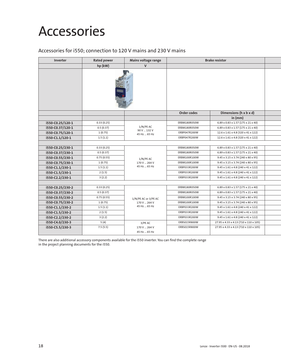### Accessories

#### Accessories for i550; connection to 120 V mains and 230 V mains

| Inverter         | <b>Rated power</b> | Mains voltage range        |              | <b>Brake resistor</b>                          |  |
|------------------|--------------------|----------------------------|--------------|------------------------------------------------|--|
|                  | hp (kW)            | $\mathbf{V}$               |              |                                                |  |
|                  |                    |                            |              |                                                |  |
|                  |                    |                            | Order codes  | Dimensions (h x b x d)                         |  |
|                  |                    |                            |              | in $(mm)$                                      |  |
| i550-C0.25/120-1 | 0.33(0.25)         |                            | ERBM180R050W | 6.89 x 0.83 x 1.57 (175 x 21 x 40)             |  |
| i550-C0.37/120-1 | 0.5(0.37)          | $1/N/PE$ AC<br>90 V  132 V | ERBM180R050W | 6.89 x 0.83 x 1.57 (175 x 21 x 40)             |  |
| i550-C0.75/120-1 | 1(0.75)            | 45 Hz  65 Hz               | ERBP047R200W | 12.6 x 1.61 x 4.8 (320 x 41 x 122)             |  |
| i550-C1.1/120-1  | 1.5(1.1)           |                            | ERBP047R200W | 12.6 x 1.61 x 4.8 (320 x 41 x 122)             |  |
|                  |                    |                            |              |                                                |  |
| i550-C0.25/230-1 | 0.33(0.25)         |                            | ERBM180R050W | $6.89 \times 0.83 \times 1.57$ (175 x 21 x 40) |  |
| i550-C0.37/230-1 | 0.5(0.37)          |                            | ERBM180R050W | 6.89 x 0.83 x 1.57 (175 x 21 x 40)             |  |
| i550-C0.55/230-1 | 0.75(0.55)         | 1/N/PE AC                  | ERBM100R100W | 9.45 x 3.15 x 3.74 (240 x 80 x 95)             |  |
| i550-C0.75/230-1 | 1(0.75)            | 170 V  264 V               | ERBM100R100W | 9.45 x 3.15 x 3.74 (240 x 80 x 95)             |  |
| i550-C1.1/230-1  | 1.5(1.1)           | 45 Hz  65 Hz               | ERBP033R200W | 9.45 x 1.61 x 4.8 (240 x 41 x 122)             |  |
| i550-C1.5/230-1  | 2(1.5)             |                            | ERBP033R200W | 9.45 x 1.61 x 4.8 (240 x 41 x 122)             |  |
| i550-C2.2/230-1  | 3(2.2)             |                            | ERBP033R200W | 9.45 x 1.61 x 4.8 (240 x 41 x 122)             |  |
|                  |                    |                            |              |                                                |  |
| i550-C0.25/230-2 | 0.33(0.25)         |                            | ERBM180R050W | $6.89 \times 0.83 \times 1.57$ (175 x 21 x 40) |  |
| i550-C0.37/230-2 | 0.5(0.37)          |                            | ERBM180R050W | 6.89 x 0.83 x 1.57 (175 x 21 x 40)             |  |
| i550-C0.55/230-2 | 0.75(0.55)         | 1/N/PE AC or 3/PE AC       | ERBM100R100W | 9.45 x 3.15 x 3.74 (240 x 80 x 95)             |  |
| i550-C0.75/230-2 | 1(0.75)            | 170 V  264 V               | ERBM100R100W | 9.45 x 3.15 x 3.74 (240 x 80 x 95)             |  |
| i550-C1.1/230-2  | 1.5(1.1)           | 45 Hz  65 Hz               | ERBP033R200W | 9.45 x 1.61 x 4.8 (240 x 41 x 122)             |  |
| i550-C1.5/230-2  | 2(1.5)             |                            | ERBP033R200W | 9.45 x 1.61 x 4.8 (240 x 41 x 122)             |  |
| i550-C2.2/230-2  | 3(2.2)             |                            | ERBP033R200W | 9.45 x 1.61 x 4.8 (240 x 41 x 122)             |  |
| i550-C4.0/230-3  | 5 (4)              | 3/PE AC                    | ERBS015R800W | 27.95 x 4.33 x 4.13 (710 x 110 x 105)          |  |
| i550-C5.5/230-3  | 7.5(5.5)           | 170 V  264 V               | ERBS015R800W | 27.95 x 4.33 x 4.13 (710 x 110 x 105)          |  |
|                  |                    | 45 Hz  65 Hz               |              |                                                |  |

There are also additional accessory components available for the i550 inverter. You can find the complete range in the project planning documents for the i550.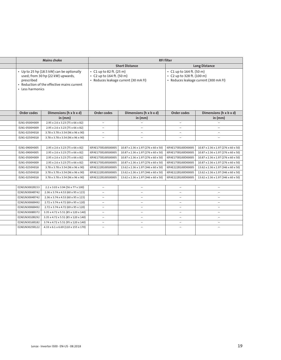| <b>RFI filter</b><br><b>Short Distance</b><br><b>Long Distance</b><br>• C1 up to 164 ft. (50 m)<br>C2 up to 328 ft. (100 m)<br>· Reduces leakage current (30 mA FI)<br>Reduces leakage current (300 mA FI)<br>Dimensions (h x b x d)<br>Dimensions (h x b x d)<br>Order codes<br>in (mm)<br>in (mm)<br>$\overline{\phantom{0}}$<br>$\hspace{0.1mm}-\hspace{0.1mm}$<br>$\hspace{0.1mm}-\hspace{0.1mm}$<br>$\hspace{0.1mm}-\hspace{0.1mm}$<br>$\overline{\phantom{a}}$<br>$\overline{\phantom{a}}$<br>10.87 x 2.36 x 1.97 (276 x 60 x 50)<br>  I0FAE175B100D0000S<br>10.87 x 2.36 x 1.97 (276 x 60 x 50)<br>  IOFAE175B100D0000S<br>10.87 x 2.36 x 1.97 (276 x 60 x 50)<br>10.87 x 2.36 x 1.97 (276 x 60 x 50)<br>$10.87 \times 2.36 \times 1.97$ (276 x 60 x 50)<br>I0FAE175B100D0000S<br>10.87 x 2.36 x 1.97 (276 x 60 x 50)<br>10.87 x 2.36 x 1.97 (276 x 60 x 50)<br>I0FAE175B100D0000S<br>10.87 x 2.36 x 1.97 (276 x 60 x 50)<br>I0FAE222B100D0000S<br>13.62 x 2.36 x 1.97 (346 x 60 x 50)<br>13.62 x 2.36 x 1.97 (346 x 60 x 50)<br>13.62 x 2.36 x 1.97 (346 x 60 x 50)<br>I0FAE222B100D0000S<br>13.62 x 2.36 x 1.97 (346 x 60 x 50)<br>13.62 x 2.36 x 1.97 (346 x 60 x 50)<br>I0FAE222B100D0000S<br>13.62 x 2.36 x 1.97 (346 x 60 x 50)<br>$\sim$<br>$\overline{\phantom{a}}$<br>$\overline{\phantom{a}}$ |                                                     | Mains choke                                                                                                                  |                                |
|----------------------------------------------------------------------------------------------------------------------------------------------------------------------------------------------------------------------------------------------------------------------------------------------------------------------------------------------------------------------------------------------------------------------------------------------------------------------------------------------------------------------------------------------------------------------------------------------------------------------------------------------------------------------------------------------------------------------------------------------------------------------------------------------------------------------------------------------------------------------------------------------------------------------------------------------------------------------------------------------------------------------------------------------------------------------------------------------------------------------------------------------------------------------------------------------------------------------------------------------------------------------------------------------------------------|-----------------------------------------------------|------------------------------------------------------------------------------------------------------------------------------|--------------------------------|
|                                                                                                                                                                                                                                                                                                                                                                                                                                                                                                                                                                                                                                                                                                                                                                                                                                                                                                                                                                                                                                                                                                                                                                                                                                                                                                                |                                                     |                                                                                                                              |                                |
|                                                                                                                                                                                                                                                                                                                                                                                                                                                                                                                                                                                                                                                                                                                                                                                                                                                                                                                                                                                                                                                                                                                                                                                                                                                                                                                |                                                     |                                                                                                                              |                                |
|                                                                                                                                                                                                                                                                                                                                                                                                                                                                                                                                                                                                                                                                                                                                                                                                                                                                                                                                                                                                                                                                                                                                                                                                                                                                                                                | C1 up to 82 ft. (25 m)<br>• C2 up to 164 ft. (50 m) | • Up to 25 hp (18.5 kW) can be optionally<br>used; from 30 hp (22 kW) upwards,<br>• Reduction of the effective mains current | prescribed<br>• Less harmonics |
|                                                                                                                                                                                                                                                                                                                                                                                                                                                                                                                                                                                                                                                                                                                                                                                                                                                                                                                                                                                                                                                                                                                                                                                                                                                                                                                | Order codes                                         | Dimensions (h x b x d)                                                                                                       | Order codes                    |
|                                                                                                                                                                                                                                                                                                                                                                                                                                                                                                                                                                                                                                                                                                                                                                                                                                                                                                                                                                                                                                                                                                                                                                                                                                                                                                                |                                                     | in $(mm)$                                                                                                                    |                                |
|                                                                                                                                                                                                                                                                                                                                                                                                                                                                                                                                                                                                                                                                                                                                                                                                                                                                                                                                                                                                                                                                                                                                                                                                                                                                                                                | $-$                                                 | 2.95 x 2.6 x 3.23 (75 x 66 x 82)                                                                                             | ELN1-0500H009                  |
|                                                                                                                                                                                                                                                                                                                                                                                                                                                                                                                                                                                                                                                                                                                                                                                                                                                                                                                                                                                                                                                                                                                                                                                                                                                                                                                | $\overline{\phantom{a}}$                            | 2.95 x 2.6 x 3.23 (75 x 66 x 82)                                                                                             | ELN1-0500H009                  |
|                                                                                                                                                                                                                                                                                                                                                                                                                                                                                                                                                                                                                                                                                                                                                                                                                                                                                                                                                                                                                                                                                                                                                                                                                                                                                                                | $\hspace{0.1mm}-\hspace{0.1mm}$                     | 3.78 x 3.78 x 3.54 (96 x 96 x 90)                                                                                            | ELN1-0250H018                  |
|                                                                                                                                                                                                                                                                                                                                                                                                                                                                                                                                                                                                                                                                                                                                                                                                                                                                                                                                                                                                                                                                                                                                                                                                                                                                                                                | $\overline{\phantom{a}}$                            | 3.78 x 3.78 x 3.54 (96 x 96 x 90)                                                                                            | ELN1-0250H018                  |
|                                                                                                                                                                                                                                                                                                                                                                                                                                                                                                                                                                                                                                                                                                                                                                                                                                                                                                                                                                                                                                                                                                                                                                                                                                                                                                                |                                                     |                                                                                                                              |                                |
|                                                                                                                                                                                                                                                                                                                                                                                                                                                                                                                                                                                                                                                                                                                                                                                                                                                                                                                                                                                                                                                                                                                                                                                                                                                                                                                | IOFAE175B100S0000S                                  | 2.95 x 2.6 x 3.23 (75 x 66 x 82)                                                                                             | ELN1-0900H005                  |
|                                                                                                                                                                                                                                                                                                                                                                                                                                                                                                                                                                                                                                                                                                                                                                                                                                                                                                                                                                                                                                                                                                                                                                                                                                                                                                                | I0FAE175B100S0000S                                  | 2.95 x 2.6 x 3.23 (75 x 66 x 82)                                                                                             | ELN1-0900H005                  |
|                                                                                                                                                                                                                                                                                                                                                                                                                                                                                                                                                                                                                                                                                                                                                                                                                                                                                                                                                                                                                                                                                                                                                                                                                                                                                                                | I0FAE175B100S0000S                                  | 2.95 x 2.6 x 3.23 (75 x 66 x 82)                                                                                             | ELN1-0500H009                  |
|                                                                                                                                                                                                                                                                                                                                                                                                                                                                                                                                                                                                                                                                                                                                                                                                                                                                                                                                                                                                                                                                                                                                                                                                                                                                                                                | I0FAE175B100S0000S                                  | 2.95 x 2.6 x 3.23 (75 x 66 x 82)                                                                                             | ELN1-0500H009                  |
|                                                                                                                                                                                                                                                                                                                                                                                                                                                                                                                                                                                                                                                                                                                                                                                                                                                                                                                                                                                                                                                                                                                                                                                                                                                                                                                | I0FAE222B100S0000S                                  | 3.78 x 3.78 x 3.54 (96 x 96 x 90)                                                                                            | ELN1-0250H018                  |
|                                                                                                                                                                                                                                                                                                                                                                                                                                                                                                                                                                                                                                                                                                                                                                                                                                                                                                                                                                                                                                                                                                                                                                                                                                                                                                                | I0FAE222B100S0000S                                  | 3.78 x 3.78 x 3.54 (96 x 96 x 90)                                                                                            | ELN1-0250H018                  |
|                                                                                                                                                                                                                                                                                                                                                                                                                                                                                                                                                                                                                                                                                                                                                                                                                                                                                                                                                                                                                                                                                                                                                                                                                                                                                                                | I0FAE222B100S0000S                                  | 3.78 x 3.78 x 3.54 (96 x 96 x 90)                                                                                            | ELN1-0250H018                  |
|                                                                                                                                                                                                                                                                                                                                                                                                                                                                                                                                                                                                                                                                                                                                                                                                                                                                                                                                                                                                                                                                                                                                                                                                                                                                                                                |                                                     |                                                                                                                              |                                |
|                                                                                                                                                                                                                                                                                                                                                                                                                                                                                                                                                                                                                                                                                                                                                                                                                                                                                                                                                                                                                                                                                                                                                                                                                                                                                                                | $\overline{\phantom{a}}$                            | 2.2 x 3.03 x 3.94 (56 x 77 x 100)                                                                                            | EZAELN3002B153                 |
| $\hspace{0.1mm}-\hspace{0.1mm}$<br>$\overline{\phantom{a}}$                                                                                                                                                                                                                                                                                                                                                                                                                                                                                                                                                                                                                                                                                                                                                                                                                                                                                                                                                                                                                                                                                                                                                                                                                                                    | $\overline{\phantom{0}}$                            | 2.36 x 3.74 x 4.53 (60 x 95 x 115)                                                                                           | EZAELN3004B742                 |
| $\overline{\phantom{0}}$                                                                                                                                                                                                                                                                                                                                                                                                                                                                                                                                                                                                                                                                                                                                                                                                                                                                                                                                                                                                                                                                                                                                                                                                                                                                                       | $\overline{\phantom{a}}$                            | 2.36 x 3.74 x 4.53 (60 x 95 x 115)                                                                                           | EZAELN3004B742                 |
| $\hspace{0.1mm}-\hspace{0.1mm}$<br>$\overline{\phantom{a}}$<br>$\overline{\phantom{a}}$                                                                                                                                                                                                                                                                                                                                                                                                                                                                                                                                                                                                                                                                                                                                                                                                                                                                                                                                                                                                                                                                                                                                                                                                                        | $\sim$                                              | 2.72 x 3.74 x 4.72 (69 x 95 x 120)                                                                                           | EZAELN3006B492                 |
| $\hspace{0.1mm}-\hspace{0.1mm}$<br>$\overline{\phantom{a}}$                                                                                                                                                                                                                                                                                                                                                                                                                                                                                                                                                                                                                                                                                                                                                                                                                                                                                                                                                                                                                                                                                                                                                                                                                                                    | $\sim$                                              | 2.72 x 3.74 x 4.72 (69 x 95 x 120)                                                                                           | EZAELN3006B492                 |
| $\overline{\phantom{a}}$<br>$\overline{\phantom{a}}$<br>$\overline{\phantom{a}}$                                                                                                                                                                                                                                                                                                                                                                                                                                                                                                                                                                                                                                                                                                                                                                                                                                                                                                                                                                                                                                                                                                                                                                                                                               | $\sim$                                              | 3.35 x 4.72 x 5.51 (85 x 120 x 140)                                                                                          | EZAELN3008B372                 |
| $\overline{\phantom{a}}$<br>$\overline{\phantom{a}}$<br>$\overline{\phantom{a}}$                                                                                                                                                                                                                                                                                                                                                                                                                                                                                                                                                                                                                                                                                                                                                                                                                                                                                                                                                                                                                                                                                                                                                                                                                               | $\sim$                                              | 3.35 x 4.72 x 5.51 (85 x 120 x 140)                                                                                          | EZAELN3010B292                 |
| $\sim$<br>$\sim$<br>$\overline{\phantom{0}}$                                                                                                                                                                                                                                                                                                                                                                                                                                                                                                                                                                                                                                                                                                                                                                                                                                                                                                                                                                                                                                                                                                                                                                                                                                                                   | $\sim$                                              | 3.74 x 4.72 x 5.51 (95 x 120 x 140)                                                                                          | EZAELN3016B182                 |
| $\overline{\phantom{a}}$                                                                                                                                                                                                                                                                                                                                                                                                                                                                                                                                                                                                                                                                                                                                                                                                                                                                                                                                                                                                                                                                                                                                                                                                                                                                                       | $\hspace{0.1mm}-\hspace{0.1mm}$                     | 4.33 x 6.1 x 6.69 (110 x 155 x 170)                                                                                          | EZAELN3025B122                 |
|                                                                                                                                                                                                                                                                                                                                                                                                                                                                                                                                                                                                                                                                                                                                                                                                                                                                                                                                                                                                                                                                                                                                                                                                                                                                                                                |                                                     |                                                                                                                              |                                |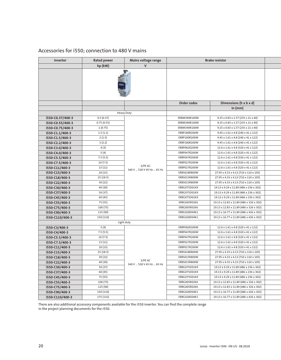### Accessories for i550; connection to 480 V mains

| Inverter         | <b>Rated power</b> | Mains voltage range                  | <b>Brake resistor</b> |                                                |
|------------------|--------------------|--------------------------------------|-----------------------|------------------------------------------------|
|                  | hp (kW)            | $\mathsf{V}$                         |                       |                                                |
|                  |                    |                                      |                       |                                                |
|                  |                    |                                      | Order codes           | Dimensions (h x b x d)                         |
|                  |                    |                                      |                       | in (mm)                                        |
|                  |                    | Heavy Duty                           |                       |                                                |
| i550-C0.37/400-3 | 0.5(0.37)          |                                      | ERBM390R100W          | 9.25 x 0.83 x 1.57 (235 x 21 x 40)             |
| i550-C0.55/400-3 | 0.75(0.55)         |                                      | ERBM390R100W          | $9.25 \times 0.83 \times 1.57$ (235 x 21 x 40) |
| i550-C0.75/400-3 | 1(0.75)            |                                      | ERBM390R100W          | $9.25 \times 0.83 \times 1.57$ (235 x 21 x 40) |
| i550-C1.1/400-3  | 1.5(1.1)           |                                      | ERBP180R200W          | 9.45 x 1.61 x 4.8 (240 x 41 x 122)             |
| i550-C1.5/400-3  | 2(1.5)             |                                      | ERBP180R200W          | 9.45 x 1.61 x 4.8 (240 x 41 x 122)             |
| i550-C2.2/400-3  | 3(2.2)             |                                      | ERBP180R200W          | 9.45 x 1.61 x 4.8 (240 x 41 x 122)             |
| i550-C3.0/400-3  | 4 (3)              |                                      | ERBP082R200W          | 12.6 x 1.61 x 4.8 (320 x 41 x 122)             |
| i550-C4.0/400-3  | 5 (4)              |                                      | ERBP047R200W          | 12.6 x 1.61 x 4.8 (320 x 41 x 122)             |
| i550-C5.5/400-3  | 7.5(5.5)           |                                      | ERBP047R200W          | 12.6 x 1.61 x 4.8 (320 x 41 x 122)             |
| i550-C7.5/400-3  | 10(7.5)            |                                      | ERBP027R200W          | 12.6 x 1.61 x 4.8 (320 x 41 x 122)             |
| i550-C11/400-3   | 15 (11)            | 3/PE AC<br>340 V  528 V 45 Hz  65 Hz | ERBP027R200W          | 12.6 x 1.61 x 4.8 (320 x 41 x 122)             |
| i550-C15/400-3   | 20 (15)            |                                      | ERBS018R800W          | 27.95 x 4.33 x 4.13 (710 x 110 x 105)          |
| i550-C18/400-3   | 25 (18.5)          |                                      | ERBS015R800W          | 27.95 x 4.33 x 4.13 (710 x 110 x 105)          |
| i550-C22/400-3   | 30 (22)            |                                      | ERBS015R800W          | 27.95 x 4.33 x 4.13 (710 x 110 x 105)          |
| i550-C30/400-3   | 40 (30)            |                                      | ERBG075D01K9          | 19.13 x 9.29 x 11.89 (486 x 236 x 302)         |
| i550-C37/400-3   | 50 (37)            |                                      | ERBG075D01K9          | 19.13 x 9.29 x 11.89 (486 x 236 x 302)         |
| i550-C45/400-3   | 60 (45)            |                                      | ERBG075D01K9          | 19.13 x 9.29 x 11.89 (486 x 236 x 302)         |
| i550-C55/400-3   | 75 (55)            |                                      | ERBG005R02K6          | 19.13 x 12.83 x 11.89 (486 x 326 x 302)        |
| i550-C75/400-3   | 100 (75)           |                                      | ERBG005R02K6          | 19.13 x 12.83 x 11.89 (486 x 326 x 302)        |
| i550-C90/400-3   | 125 (90)           |                                      | ERBG028D04K1          | 19.13 x 16.77 x 11.89 (486 x 426 x 302)        |
| i550-C110/400-3  | 150 (110)          |                                      | ERBG028D04K1          | 19.13 x 16.77 x 11.89 (486 x 426 x 302)        |
|                  |                    | Light duty                           |                       |                                                |
| i550-C3/400-3    | 5(4)               |                                      | ERBP082R200W          | 12.6 x 1.61 x 4.8 (320 x 41 x 122)             |
| i550-C4/400-3    | 7.5(5.5)           |                                      | ERBP047R200W          | 12.6 x 1.61 x 4.8 (320 x 41 x 122)             |
| i550-C5.5/400-3  | 10(7.5)            |                                      | ERBP047R200W          | 12.6 x 1.61 x 4.8 (320 x 41 x 122)             |
| i550-C7.5/400-3  | 15 (11)            |                                      | ERBP027R200W          | 12.6 x 1.61 x 4.8 (320 x 41 x 122)             |
| i550-C11/400-3   | 20 (15)            |                                      | ERBP027R200W          | 12.6 x 1.61 x 4.8 (320 x 41 x 122)             |
| i550-C15/400-3   | 25(18.5)           |                                      | ERBS018R800W          | 27.95 x 4.33 x 4.13 (710 x 110 x 105)          |
| i550-C18/400-3   | 30 (22)            | 3/PE AC                              | ERBS015R800W          | 27.95 x 4.33 x 4.13 (710 x 110 x 105)          |
| i550-C22/400-3   | 40 (30)            | 340 V  528 V 45 Hz  65 Hz            | ERBS015R800W          | 27.95 x 4.33 x 4.13 (710 x 110 x 105)          |
| i550-C30/400-3   | 50 (37)            |                                      | ERBG075D01K9          | 19.13 x 9.29 x 11.89 (486 x 236 x 302)         |
| i550-C37/400-3   | 60 (45)            |                                      | ERBG075D01K9          | 19.13 x 9.29 x 11.89 (486 x 236 x 302)         |
| i550-C45/400-3   | 75 (55)            |                                      | ERBG075D01K9          | 19.13 x 9.29 x 11.89 (486 x 236 x 302)         |
| i550-C55/400-3   | 100 (75)           |                                      | ERBG005R02K6          | 19.13 x 12.83 x 11.89 (486 x 326 x 302)        |
| i550-C75/400-3   | 125 (90)           |                                      | ERBG005R02K6          | 19.13 x 12.83 x 11.89 (486 x 326 x 302)        |
| i550-C90/400-3   | 150 (110)          |                                      | ERBG028D04K1          | 19.13 x 16.77 x 11.89 (486 x 426 x 302)        |
| i550-C110/400-3  | 175 (132)          |                                      | ERBG028D04K1          | 19.13 x 16.77 x 11.89 (486 x 426 x 302)        |

There are also additional accessory components available for the i550 inverter. You can find the complete range in the project planning documents for the i550.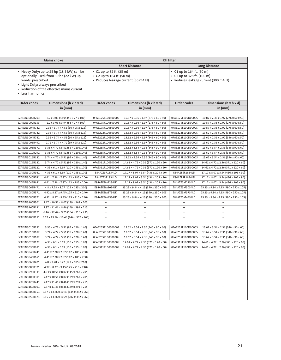|                                     | <b>Mains choke</b>                                                                                                                                               | <b>RFI filter</b>                                                                           |                                       |                                                         |                                       |
|-------------------------------------|------------------------------------------------------------------------------------------------------------------------------------------------------------------|---------------------------------------------------------------------------------------------|---------------------------------------|---------------------------------------------------------|---------------------------------------|
|                                     |                                                                                                                                                                  |                                                                                             | <b>Short Distance</b>                 | <b>Long Distance</b>                                    |                                       |
| wards, prescribed<br>Less harmonics | Heavy Duty: up to 25 hp (18.5 kW) can be<br>optionally used: from 30 hp (22 kW) up-<br>Light Duty: always prescribed<br>Reduction of the effective mains current | C1 up to 82 ft. (25 m)<br>• C2 up to 164 ft. (50 m)<br>• Reduces leakage current (30 mA FI) |                                       | • C1 up to 164 ft. (50 m)<br>• C2 up to 328 ft. (100 m) | · Reduces leakage current (300 mA FI) |
| Order codes                         | Dimensions (h x b x d)                                                                                                                                           | Order codes                                                                                 | Dimensions (h x b x d)                | Order codes                                             | Dimensions (h x b x d)                |
|                                     | in $(mm)$                                                                                                                                                        |                                                                                             | in (mm)                               |                                                         | in (mm)                               |
|                                     |                                                                                                                                                                  |                                                                                             |                                       |                                                         |                                       |
| EZAELN3002B203                      | 2.2 x 3.03 x 3.94 (56 x 77 x 100)                                                                                                                                | I0FAE175F100S0000S                                                                          | 10.87 x 2.36 x 1.97 (276 x 60 x 50)   | I0FAE175F100D0000S                                      | 10.87 x 2.36 x 1.97 (276 x 60 x 50)   |
| EZAELN3002B153                      | 2.2 x 3.03 x 3.94 (56 x 77 x 100)                                                                                                                                | I0FAE175F100S0000S                                                                          | 10.87 x 2.36 x 1.97 (276 x 60 x 50)   | I0FAE175F100D0000S                                      | 10.87 x 2.36 x 1.97 (276 x 60 x 50)   |
| EZAELN3004B742                      | 2.36 x 3.74 x 4.53 (60 x 95 x 115)                                                                                                                               | I0FAE175F100S0000S                                                                          | 10.87 x 2.36 x 1.97 (276 x 60 x 50)   | I0FAE175F100D0000S                                      | 10.87 x 2.36 x 1.97 (276 x 60 x 50)   |
| EZAELN3004B742                      | 2.36 x 3.74 x 4.53 (60 x 95 x 115)                                                                                                                               | I0FAE222F100S0000S                                                                          | 13.62 x 2.36 x 1.97 (346 x 60 x 50)   | I0FAE222F100D0000S                                      | 13.62 x 2.36 x 1.97 (346 x 60 x 50)   |
| EZAELN3004B742                      | 2.36 x 3.74 x 4.53 (60 x 95 x 115)                                                                                                                               | I0FAE222F100S0000S                                                                          | 13.62 x 2.36 x 1.97 (346 x 60 x 50)   | I0FAE222F100D0000S                                      | 13.62 x 2.36 x 1.97 (346 x 60 x 50)   |
| EZAELN3006B492                      | 2.72 x 3.74 x 4.72 (69 x 95 x 120)                                                                                                                               | I0FAE222F100S0000S                                                                          | 13.62 x 2.36 x 1.97 (346 x 60 x 50)   | I0FAE222F100D0000S                                      | 13.62 x 2.36 x 1.97 (346 x 60 x 50)   |
| EZAELN3008B372                      | 3.35 x 4.72 x 5.51 (85 x 120 x 140)                                                                                                                              | I0FAE255F100S0000S                                                                          | 13.62 x 3.54 x 2.36 (346 x 90 x 60)   | I0FAE255F100D0000S                                      | 13.62 x 3.54 x 2.36 (346 x 90 x 60)   |
| EZAELN3010B292                      | 3.35 x 4.72 x 5.51 (85 x 120 x 140)                                                                                                                              | I0FAE255F100S0000S                                                                          | 13.62 x 3.54 x 2.36 (346 x 90 x 60)   | I0FAE255F100D0000S                                      | 13.62 x 3.54 x 2.36 (346 x 90 x 60)   |
| EZAELN3016B182                      | 3.74 x 4.72 x 5.51 (95 x 120 x 140)                                                                                                                              | I0FAE255F100S0000S                                                                          | 13.62 x 3.54 x 2.36 (346 x 90 x 60)   | I0FAE255F100D0000S                                      | 13.62 x 3.54 x 2.36 (346 x 90 x 60)   |
| EZAELN3016B182                      | 3.74 x 4.72 x 5.51 (95 x 120 x 140)                                                                                                                              | I0FAE311F100S0000S                                                                          | 14.61 x 4.72 x 2.36 (371 x 120 x 60)  | I0FAE311F100D0000S                                      | 14.61 x 4.72 x 2.36 (371 x 120 x 60)  |
| EZAELN3025B122                      | 4.33 x 6.1 x 6.69 (110 x 155 x 170)                                                                                                                              | IOFAE311F100S0000S                                                                          | 14.61 x 4.72 x 2.36 (371 x 120 x 60)  | I0FAE311F100D0000S                                      | 14.61 x 4.72 x 2.36 (371 x 120 x 60)  |
| EZAELN3030B981                      | 4.33 x 6.1 x 6.69 (110 x 155 x 170)                                                                                                                              | E84AZESR1834LD                                                                              | 17.17 x 8.07 x 3.54 (436 x 205 x 90)  | E84AZESR1834LD                                          | 17.17 x 8.07 x 3.54 (436 x 205 x 90)  |
| EZAELN3040B741                      | 4.41 x 7.28 x 7.87 (112 x 185 x 200)                                                                                                                             | E84AZESR1834LD                                                                              | 17.17 x 8.07 x 3.54 (436 x 205 x 90)  | E84AZESR1834LD                                          | 17.17 x 8.07 x 3.54 (436 x 205 x 90)  |
| EZAELN3045B651                      | 4.41 x 7.28 x 7.87 (112 x 185 x 200)                                                                                                                             | E84AZESM2234LD                                                                              | 17.17 x 8.07 x 3.54 (436 x 205 x 90)  | E84AZESM2234LD                                          | 17.17 x 8.07 x 3.54 (436 x 205 x 90)  |
| EZAELN3063B471                      | 4.8 x 7.28 x 8.27 (122 x 185 x 210)                                                                                                                              | E84AZESM3034LD                                                                              | 23.23 x 9.84 x 4.13 (590 x 250 x 105) | E84AZESM3034LD                                          | 23.23 x 9.84 x 4.13 (590 x 250 x 105) |
| EZAELN3080B371                      | 4.92 x 8.27 x 9.45 (125 x 210 x 240)                                                                                                                             | E84AZESM3734LD                                                                              | 23.23 x 9.84 x 4.13 (590 x 250 x 105) | E84AZESM3734LD                                          | 23.23 x 9.84 x 4.13 (590 x 250 x 105) |
| EZAELN3080B371                      | 4.92 x 8.27 x 9.45 (125 x 210 x 240)                                                                                                                             | E84AZESM4534LD                                                                              | 23.23 x 9.84 x 4.13 (590 x 250 x 105) | E84AZESM4534LD                                          | 23.23 x 9.84 x 4.13 (590 x 250 x 105) |
| EZAELN3100B301                      | 5.47 x 10.51 x 8.07 (139 x 267 x 205)                                                                                                                            | $ \,$                                                                                       | $\overline{\phantom{a}}$              | $\hspace{0.1mm}-\hspace{0.1mm}$                         |                                       |
| EZAELN3160B191                      | 5.87 x 11.46 x 8.46 (149 x 291 x 215)                                                                                                                            | $-$                                                                                         | $\overline{\phantom{a}}$              | $\overline{\phantom{m}}$                                | $\qquad \qquad -$                     |
| EZAELN3180B171                      | 6.46 x 12.44 x 9.25 (164 x 316 x 235)                                                                                                                            | $\hspace{0.1mm}-\hspace{0.1mm}$                                                             | $\overline{\phantom{a}}$              | $\overline{\phantom{0}}$                                | $\overline{\phantom{m}}$              |
|                                     | EZAELN3200B151   5.67 x 13.86 x 10.43 (144 x 352 x 265)                                                                                                          | $\overline{\phantom{m}}$                                                                    | $\overline{\phantom{a}}$              |                                                         |                                       |
|                                     |                                                                                                                                                                  |                                                                                             |                                       |                                                         |                                       |
| EZAELN3010B292                      | 3.35 x 4.72 x 5.51 (85 x 120 x 140)                                                                                                                              | I0FAE255F100S0000S                                                                          | 13.62 x 3.54 x 2.36 (346 x 90 x 60)   | I0FAE255F100D0000S                                      | 13.62 x 3.54 x 2.36 (346 x 90 x 60)   |
| EZAELN3016B182                      | 3.74 x 4.72 x 5.51 (95 x 120 x 140)                                                                                                                              | I0FAE255F100S0000S                                                                          | 13.62 x 3.54 x 2.36 (346 x 90 x 60)   | I0FAE255F100D0000S                                      | 13.62 x 3.54 x 2.36 (346 x 90 x 60)   |
| EZAELN3016B182                      | 3.74 x 4.72 x 5.51 (95 x 120 x 140)                                                                                                                              | I0FAE255F100S0000S                                                                          | 13.62 x 3.54 x 2.36 (346 x 90 x 60)   | I0FAE255F100D0000S                                      | 13.62 x 3.54 x 2.36 (346 x 90 x 60)   |
| EZAELN3025B122                      | 4.33 x 6.1 x 6.69 (110 x 155 x 170)                                                                                                                              | I0FAE311F100S0000S                                                                          | 14.61 x 4.72 x 2.36 (371 x 120 x 60)  | I0FAE311F100D0000S                                      | 14.61 x 4.72 x 2.36 (371 x 120 x 60)  |
| EZAELN3030B981                      | 4.33 x 6.1 x 6.69 (110 x 155 x 170)                                                                                                                              | I0FAE311F100S0000S                                                                          | 14.61 x 4.72 x 2.36 (371 x 120 x 60)  | I0FAE311F100D0000S                                      | 14.61 x 4.72 x 2.36 (371 x 120 x 60)  |
| EZAELN3040B741                      | 4.41 x 7.28 x 7.87 (112 x 185 x 200)                                                                                                                             |                                                                                             |                                       |                                                         |                                       |
| EZAELN3045B651                      | 4.41 x 7.28 x 7.87 (112 x 185 x 200)                                                                                                                             | $\hspace{0.1mm}-\hspace{0.1mm}$                                                             | $\hspace{0.1mm}-\hspace{0.1mm}$       | $\overline{\phantom{0}}$                                | $\overline{\phantom{m}}$              |
| EZAELN3063B471                      | 4.8 x 7.28 x 8.27 (122 x 185 x 210)                                                                                                                              | $\overline{\phantom{m}}$                                                                    | $\overline{\phantom{m}}$              | $\hspace{0.1mm}-\hspace{0.1mm}$                         | $\overline{\phantom{a}}$              |
|                                     | EZAELN3080B371   4.92 x 8.27 x 9.45 (125 x 210 x 240)                                                                                                            | $\overline{\phantom{m}}$                                                                    | $\overline{\phantom{m}}$              | $\overline{\phantom{m}}$                                | $\overline{\phantom{m}}$              |
|                                     | EZAELN3090B331   4.53 x 10.51 x 8.07 (115 x 267 x 205)                                                                                                           | $ \,$                                                                                       | $\qquad \qquad -$                     | $\overline{\phantom{m}}$                                | $\overline{\phantom{m}}$              |
|                                     | EZAELN3100B301   5.47 x 10.51 x 8.07 (139 x 267 x 205)                                                                                                           | $\overline{\phantom{a}}$                                                                    | $\qquad \qquad -$                     | $\overline{\phantom{m}}$                                |                                       |
|                                     | EZAELN3125B241   5.47 x 11.46 x 8.46 (139 x 291 x 215)                                                                                                           | $\overline{\phantom{m}}$                                                                    | $\overline{\phantom{a}}$              | $\overline{\phantom{m}}$                                | $\qquad \qquad -$                     |
|                                     | EZAELN3160B191   5.87 x 11.46 x 8.46 (149 x 291 x 215)                                                                                                           | $\overline{\phantom{m}}$                                                                    | $\overline{\phantom{a}}$              | $\overline{\phantom{a}}$                                | $\overline{\phantom{a}}$              |
|                                     | EZAELN3200B151   5.67 x 13.86 x 10.43 (144 x 352 x 265)                                                                                                          | $\sim$                                                                                      | $\overline{\phantom{a}}$              | $\overline{\phantom{m}}$                                | $\qquad \qquad -$                     |
|                                     | EZAELN3250B121   8.15 x 13.86 x 10.24 (207 x 352 x 260)                                                                                                          | $\overline{\phantom{m}}$                                                                    | $\overline{\phantom{a}}$              | $\overline{\phantom{m}}$                                | $\overline{\phantom{a}}$              |